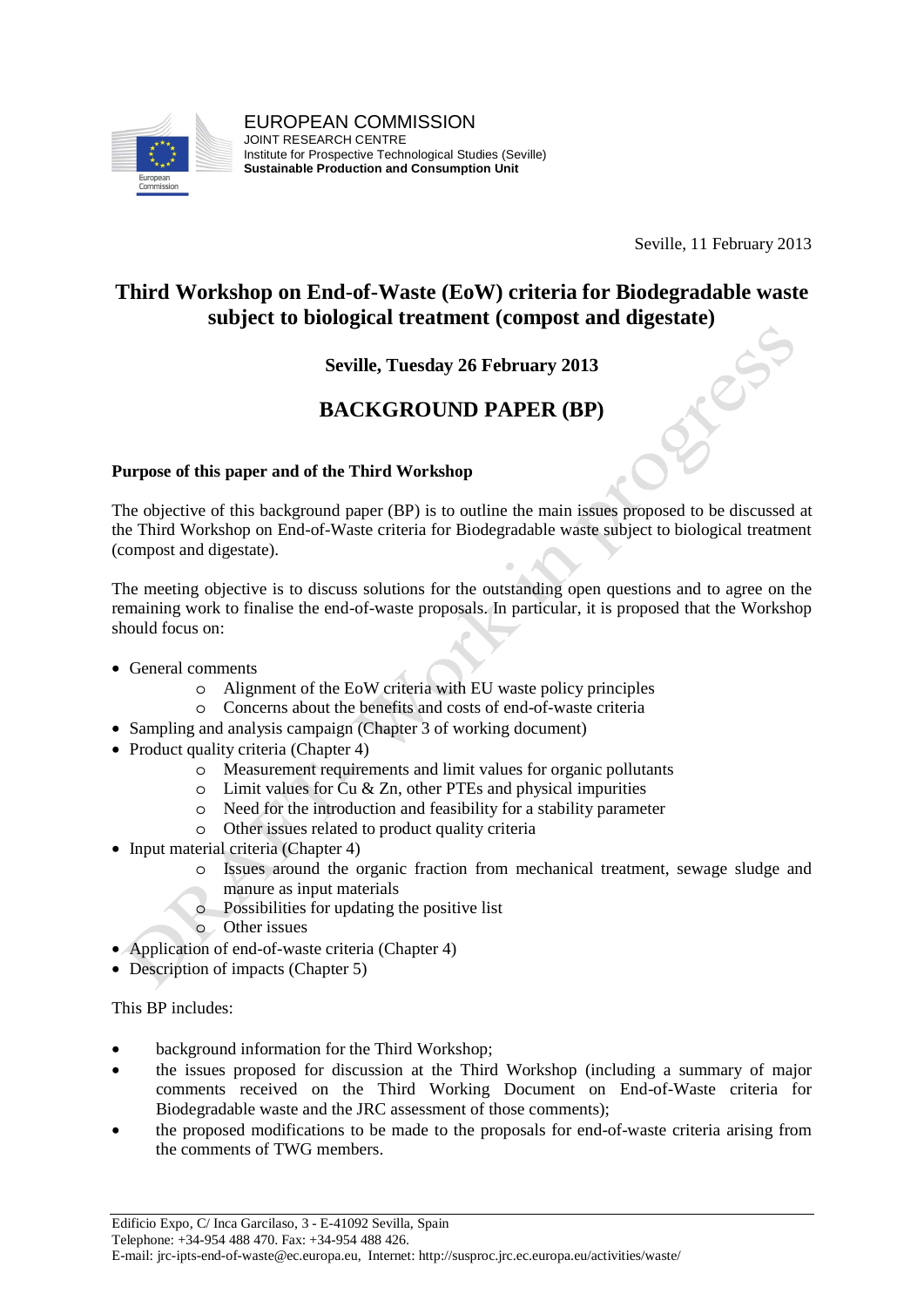

Seville, 11 February 2013

### **Third Workshop on End-of-Waste (EoW) criteria for Biodegradable waste subject to biological treatment (compost and digestate)**

#### **Seville, Tuesday 26 February 2013**

### **BACKGROUND PAPER (BP)**

#### **Purpose of this paper and of the Third Workshop**

The objective of this background paper (BP) is to outline the main issues proposed to be discussed at the Third Workshop on End-of-Waste criteria for Biodegradable waste subject to biological treatment (compost and digestate).

The meeting objective is to discuss solutions for the outstanding open questions and to agree on the remaining work to finalise the end-of-waste proposals. In particular, it is proposed that the Workshop should focus on:

- General comments
	- o Alignment of the EoW criteria with EU waste policy principles
	- o Concerns about the benefits and costs of end-of-waste criteria
- Sampling and analysis campaign (Chapter 3 of working document)
- Product quality criteria (Chapter 4)
	- o Measurement requirements and limit values for organic pollutants
	- $\circ$  Limit values for Cu & Zn, other PTEs and physical impurities
	- o Need for the introduction and feasibility for a stability parameter
	- o Other issues related to product quality criteria
- Input material criteria (Chapter 4)
	- o Issues around the organic fraction from mechanical treatment, sewage sludge and manure as input materials
		- o Possibilities for updating the positive list
		- o Other issues
- Application of end-of-waste criteria (Chapter 4)
- Description of impacts (Chapter 5)

This BP includes:

- background information for the Third Workshop:
- the issues proposed for discussion at the Third Workshop (including a summary of major comments received on the Third Working Document on End-of-Waste criteria for Biodegradable waste and the JRC assessment of those comments);
- the proposed modifications to be made to the proposals for end-of-waste criteria arising from the comments of TWG members.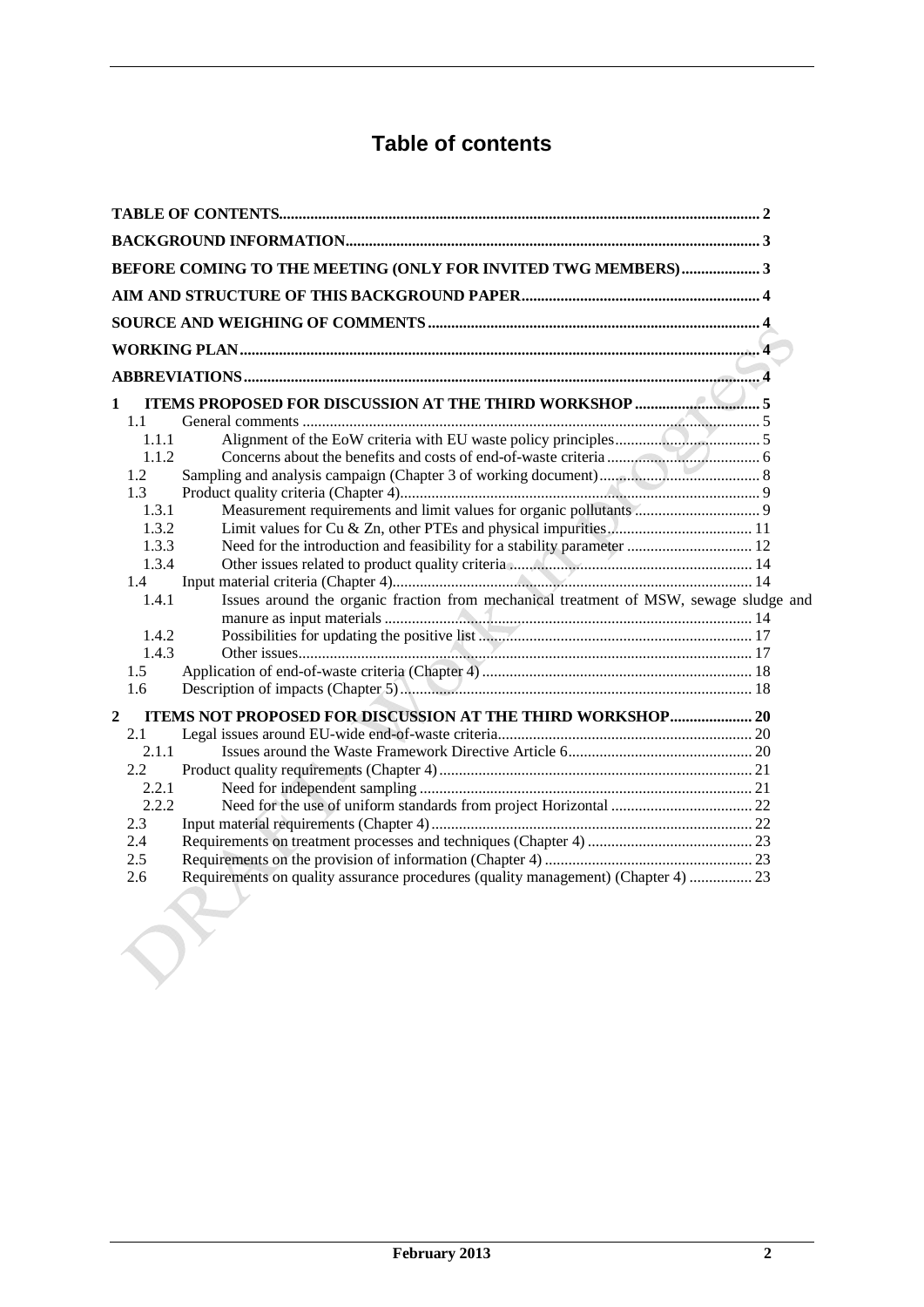# **Table of contents**

| BEFORE COMING TO THE MEETING (ONLY FOR INVITED TWG MEMBERS) 3                                   |  |
|-------------------------------------------------------------------------------------------------|--|
|                                                                                                 |  |
|                                                                                                 |  |
|                                                                                                 |  |
|                                                                                                 |  |
|                                                                                                 |  |
|                                                                                                 |  |
| 1                                                                                               |  |
| 1.1                                                                                             |  |
| 1.1.1                                                                                           |  |
| 1.1.2                                                                                           |  |
| 1.2                                                                                             |  |
| 1.3                                                                                             |  |
| 1.3.1                                                                                           |  |
| 1.3.2                                                                                           |  |
| 1.3.3                                                                                           |  |
|                                                                                                 |  |
| 1.3.4                                                                                           |  |
| 1.4                                                                                             |  |
| Issues around the organic fraction from mechanical treatment of MSW, sewage sludge and<br>1.4.1 |  |
|                                                                                                 |  |
| 1.4.2                                                                                           |  |
| 1.4.3                                                                                           |  |
| 1.5                                                                                             |  |
| 1.6                                                                                             |  |
| ITEMS NOT PROPOSED FOR DISCUSSION AT THE THIRD WORKSHOP 20<br>$\boldsymbol{2}$                  |  |
| 2.1                                                                                             |  |
| 2.1.1                                                                                           |  |
| 2.2                                                                                             |  |
| 2.2.1                                                                                           |  |
| 2.2.2                                                                                           |  |
| 2.3                                                                                             |  |
| 2.4                                                                                             |  |
| 2.5                                                                                             |  |
| Requirements on quality assurance procedures (quality management) (Chapter 4)  23<br>2.6        |  |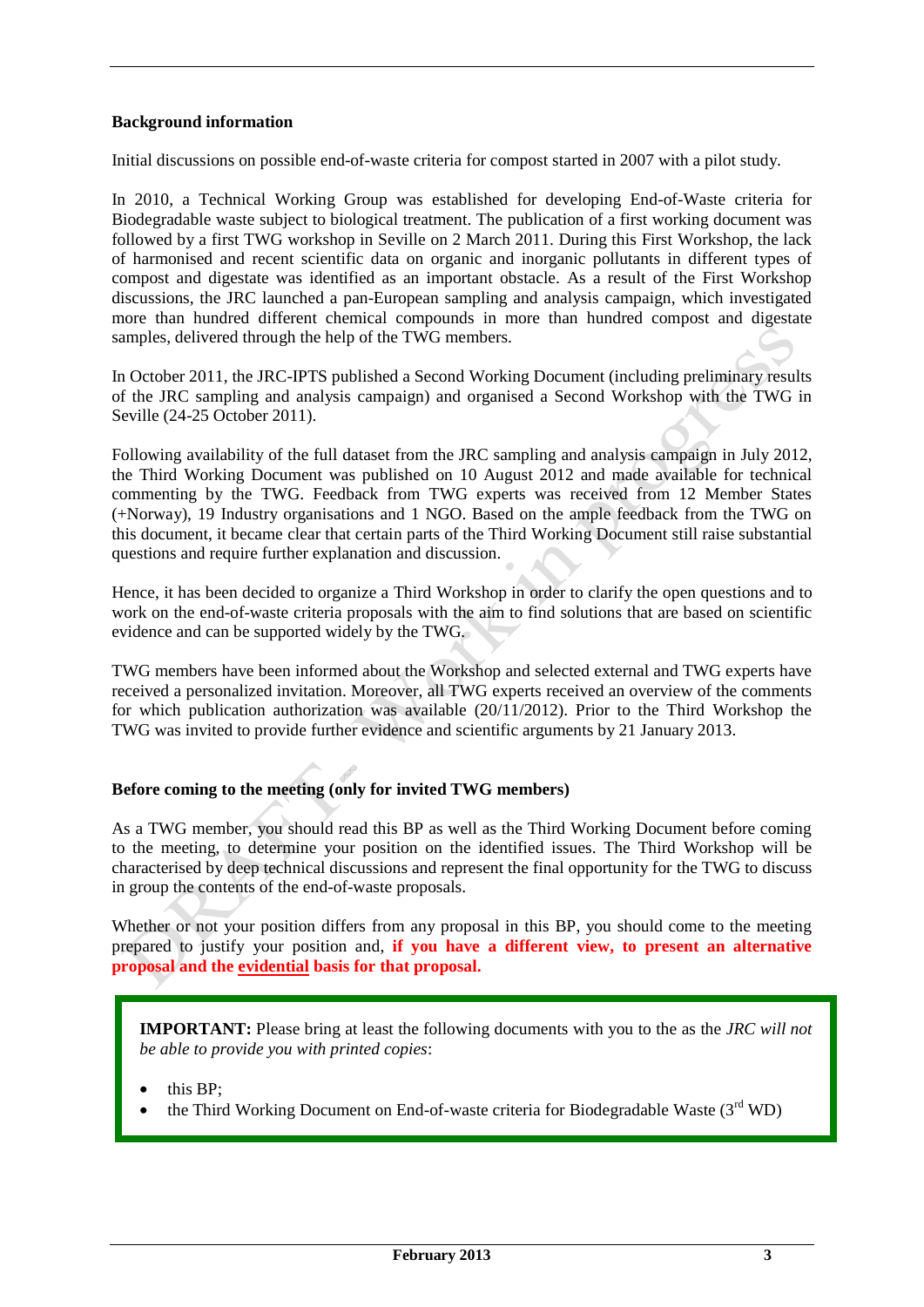#### **Background information**

Initial discussions on possible end-of-waste criteria for compost started in 2007 with a pilot study.

In 2010, a Technical Working Group was established for developing End-of-Waste criteria for Biodegradable waste subject to biological treatment. The publication of a first working document was followed by a first TWG workshop in Seville on 2 March 2011. During this First Workshop, the lack of harmonised and recent scientific data on organic and inorganic pollutants in different types of compost and digestate was identified as an important obstacle. As a result of the First Workshop discussions, the JRC launched a pan-European sampling and analysis campaign, which investigated more than hundred different chemical compounds in more than hundred compost and digestate samples, delivered through the help of the TWG members.

In October 2011, the JRC-IPTS published a Second Working Document (including preliminary results of the JRC sampling and analysis campaign) and organised a Second Workshop with the TWG in Seville (24-25 October 2011).

Following availability of the full dataset from the JRC sampling and analysis campaign in July 2012, the Third Working Document was published on 10 August 2012 and made available for technical commenting by the TWG. Feedback from TWG experts was received from 12 Member States (+Norway), 19 Industry organisations and 1 NGO. Based on the ample feedback from the TWG on this document, it became clear that certain parts of the Third Working Document still raise substantial questions and require further explanation and discussion.

Hence, it has been decided to organize a Third Workshop in order to clarify the open questions and to work on the end-of-waste criteria proposals with the aim to find solutions that are based on scientific evidence and can be supported widely by the TWG.

TWG members have been informed about the Workshop and selected external and TWG experts have received a personalized invitation. Moreover, all TWG experts received an overview of the comments for which publication authorization was available (20/11/2012). Prior to the Third Workshop the TWG was invited to provide further evidence and scientific arguments by 21 January 2013.

#### **Before coming to the meeting (only for invited TWG members)**

As a TWG member, you should read this BP as well as the Third Working Document before coming to the meeting, to determine your position on the identified issues. The Third Workshop will be characterised by deep technical discussions and represent the final opportunity for the TWG to discuss in group the contents of the end-of-waste proposals.

Whether or not your position differs from any proposal in this BP, you should come to the meeting prepared to justify your position and, **if you have a different view, to present an alternative proposal and the evidential basis for that proposal.**

**IMPORTANT:** Please bring at least the following documents with you to the as the *JRC will not be able to provide you with printed copies*:

- this BP;
- the Third Working Document on End-of-waste criteria for Biodegradable Waste  $(3<sup>rd</sup> WD)$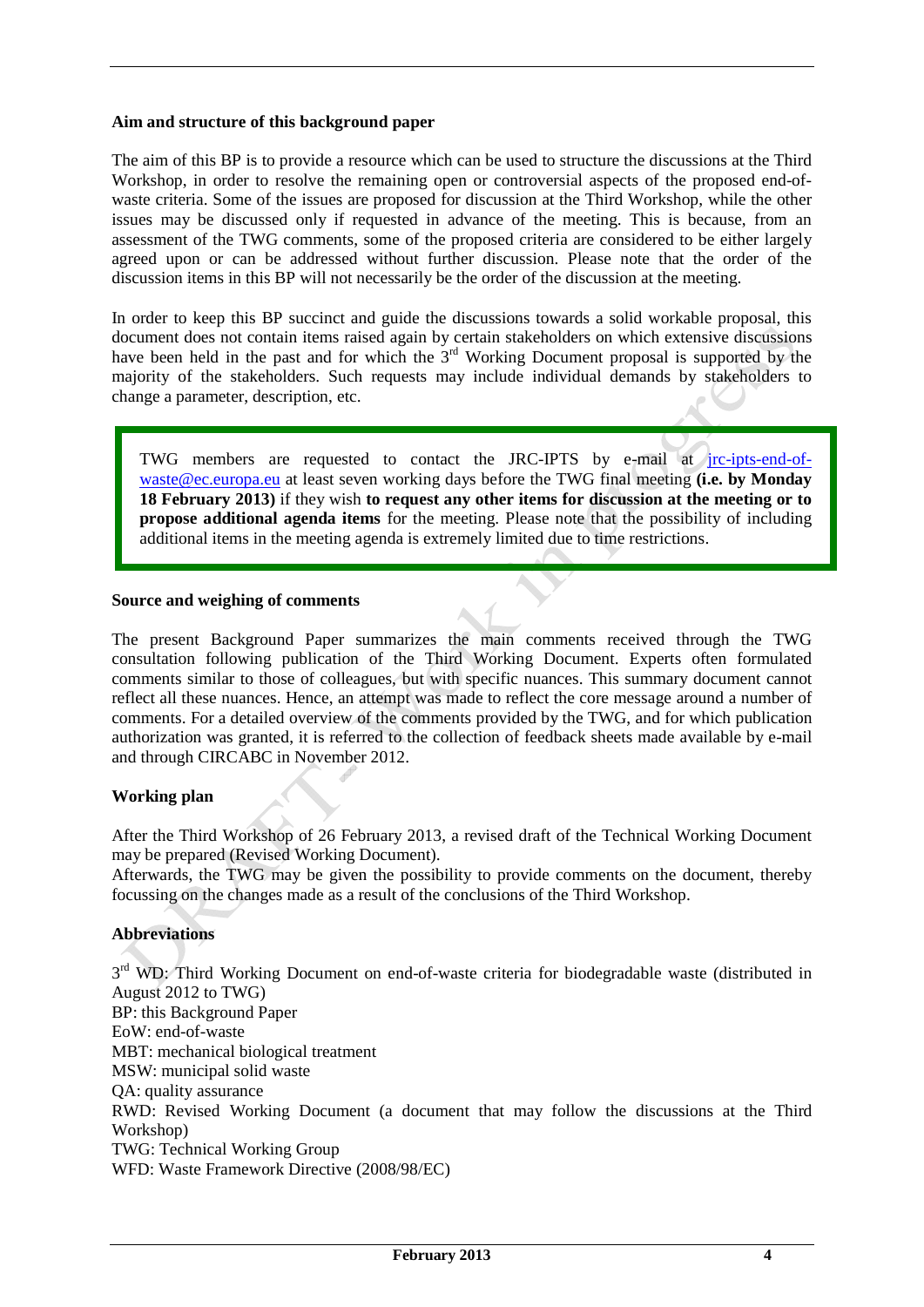#### **Aim and structure of this background paper**

The aim of this BP is to provide a resource which can be used to structure the discussions at the Third Workshop, in order to resolve the remaining open or controversial aspects of the proposed end-ofwaste criteria. Some of the issues are proposed for discussion at the Third Workshop, while the other issues may be discussed only if requested in advance of the meeting. This is because, from an assessment of the TWG comments, some of the proposed criteria are considered to be either largely agreed upon or can be addressed without further discussion. Please note that the order of the discussion items in this BP will not necessarily be the order of the discussion at the meeting.

In order to keep this BP succinct and guide the discussions towards a solid workable proposal, this document does not contain items raised again by certain stakeholders on which extensive discussions have been held in the past and for which the 3<sup>rd</sup> Working Document proposal is supported by the majority of the stakeholders. Such requests may include individual demands by stakeholders to change a parameter, description, etc.

TWG members are requested to contact the JRC-IPTS by e-mail at jrc-ipts-end-ofwaste@ec.europa.eu at least seven working days before the TWG final meeting **(i.e. by Monday 18 February 2013)** if they wish **to request any other items for discussion at the meeting or to propose additional agenda items** for the meeting. Please note that the possibility of including additional items in the meeting agenda is extremely limited due to time restrictions.

#### **Source and weighing of comments**

The present Background Paper summarizes the main comments received through the TWG consultation following publication of the Third Working Document. Experts often formulated comments similar to those of colleagues, but with specific nuances. This summary document cannot reflect all these nuances. Hence, an attempt was made to reflect the core message around a number of comments. For a detailed overview of the comments provided by the TWG, and for which publication authorization was granted, it is referred to the collection of feedback sheets made available by e-mail and through CIRCABC in November 2012.

#### **Working plan**

After the Third Workshop of 26 February 2013, a revised draft of the Technical Working Document may be prepared (Revised Working Document).

Afterwards, the TWG may be given the possibility to provide comments on the document, thereby focussing on the changes made as a result of the conclusions of the Third Workshop.

#### **Abbreviations**

3<sup>rd</sup> WD: Third Working Document on end-of-waste criteria for biodegradable waste (distributed in August 2012 to TWG) BP: this Background Paper EoW: end-of-waste MBT: mechanical biological treatment MSW: municipal solid waste QA: quality assurance RWD: Revised Working Document (a document that may follow the discussions at the Third Workshop) TWG: Technical Working Group WFD: Waste Framework Directive (2008/98/EC)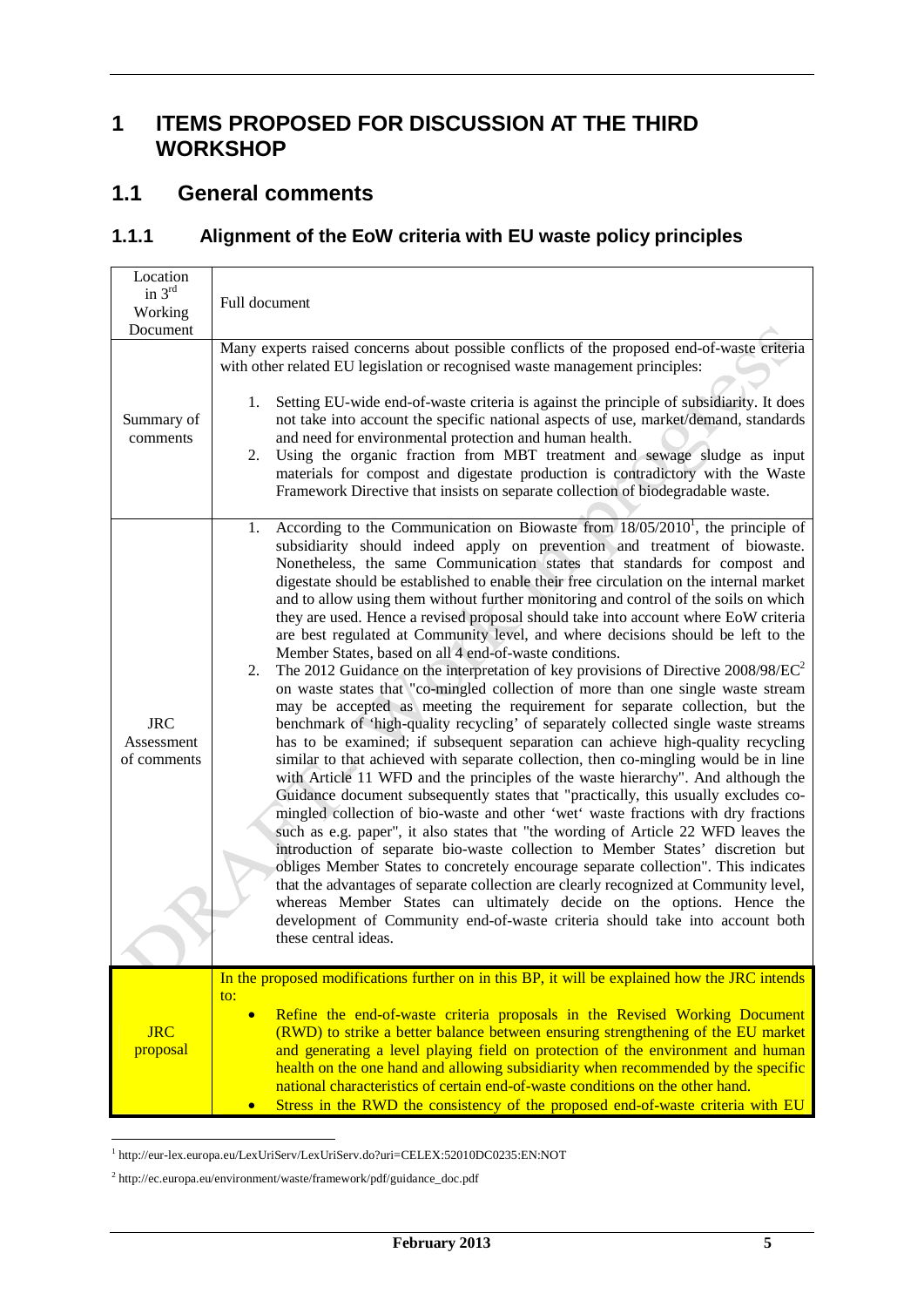# **1 ITEMS PROPOSED FOR DISCUSSION AT THE THIRD WORKSHOP**

### **1.1 General comments**

### **1.1.1 Alignment of the EoW criteria with EU waste policy principles**

| Location<br>in $3rd$<br>Working<br>Document | Full document                                                                                                                                                                                                                                                                                                                                                                                                                                                                                                                                                                                                                                                                                                                                                                                                                                                                                                                                                                                                                                                                                                                                                                                                                                                                                                                                                                                                                                                                                                                                                                                                                                                                                                                                                                                                                                                                                                                                                                                                                 |
|---------------------------------------------|-------------------------------------------------------------------------------------------------------------------------------------------------------------------------------------------------------------------------------------------------------------------------------------------------------------------------------------------------------------------------------------------------------------------------------------------------------------------------------------------------------------------------------------------------------------------------------------------------------------------------------------------------------------------------------------------------------------------------------------------------------------------------------------------------------------------------------------------------------------------------------------------------------------------------------------------------------------------------------------------------------------------------------------------------------------------------------------------------------------------------------------------------------------------------------------------------------------------------------------------------------------------------------------------------------------------------------------------------------------------------------------------------------------------------------------------------------------------------------------------------------------------------------------------------------------------------------------------------------------------------------------------------------------------------------------------------------------------------------------------------------------------------------------------------------------------------------------------------------------------------------------------------------------------------------------------------------------------------------------------------------------------------------|
| Summary of<br>comments                      | Many experts raised concerns about possible conflicts of the proposed end-of-waste criteria<br>with other related EU legislation or recognised waste management principles:<br>Setting EU-wide end-of-waste criteria is against the principle of subsidiarity. It does<br>1.<br>not take into account the specific national aspects of use, market/demand, standards<br>and need for environmental protection and human health.<br>Using the organic fraction from MBT treatment and sewage sludge as input<br>2.<br>materials for compost and digestate production is contradictory with the Waste<br>Framework Directive that insists on separate collection of biodegradable waste.                                                                                                                                                                                                                                                                                                                                                                                                                                                                                                                                                                                                                                                                                                                                                                                                                                                                                                                                                                                                                                                                                                                                                                                                                                                                                                                                        |
| <b>JRC</b><br>Assessment<br>of comments     | According to the Communication on Biowaste from $18/05/2010^1$ , the principle of<br>1.<br>subsidiarity should indeed apply on prevention and treatment of biowaste.<br>Nonetheless, the same Communication states that standards for compost and<br>digestate should be established to enable their free circulation on the internal market<br>and to allow using them without further monitoring and control of the soils on which<br>they are used. Hence a revised proposal should take into account where EoW criteria<br>are best regulated at Community level, and where decisions should be left to the<br>Member States, based on all 4 end-of-waste conditions.<br>The 2012 Guidance on the interpretation of key provisions of Directive 2008/98/EC <sup>2</sup><br>2.<br>on waste states that "co-mingled collection of more than one single waste stream<br>may be accepted as meeting the requirement for separate collection, but the<br>benchmark of 'high-quality recycling' of separately collected single waste streams<br>has to be examined; if subsequent separation can achieve high-quality recycling<br>similar to that achieved with separate collection, then co-mingling would be in line<br>with Article 11 WFD and the principles of the waste hierarchy". And although the<br>Guidance document subsequently states that "practically, this usually excludes co-<br>mingled collection of bio-waste and other 'wet' waste fractions with dry fractions<br>such as e.g. paper", it also states that "the wording of Article 22 WFD leaves the<br>introduction of separate bio-waste collection to Member States' discretion but<br>obliges Member States to concretely encourage separate collection". This indicates<br>that the advantages of separate collection are clearly recognized at Community level,<br>whereas Member States can ultimately decide on the options. Hence the<br>development of Community end-of-waste criteria should take into account both<br>these central ideas. |
| <b>JRC</b><br>proposal                      | In the proposed modifications further on in this BP, it will be explained how the JRC intends<br>to:<br>Refine the end-of-waste criteria proposals in the Revised Working Document<br>$\bullet$<br>(RWD) to strike a better balance between ensuring strengthening of the EU market<br>and generating a level playing field on protection of the environment and human<br>health on the one hand and allowing subsidiarity when recommended by the specific<br>national characteristics of certain end-of-waste conditions on the other hand.<br>Stress in the RWD the consistency of the proposed end-of-waste criteria with EU<br>$\bullet$                                                                                                                                                                                                                                                                                                                                                                                                                                                                                                                                                                                                                                                                                                                                                                                                                                                                                                                                                                                                                                                                                                                                                                                                                                                                                                                                                                                 |

 1 http://eur-lex.europa.eu/LexUriServ/LexUriServ.do?uri=CELEX:52010DC0235:EN:NOT

<sup>2</sup> http://ec.europa.eu/environment/waste/framework/pdf/guidance\_doc.pdf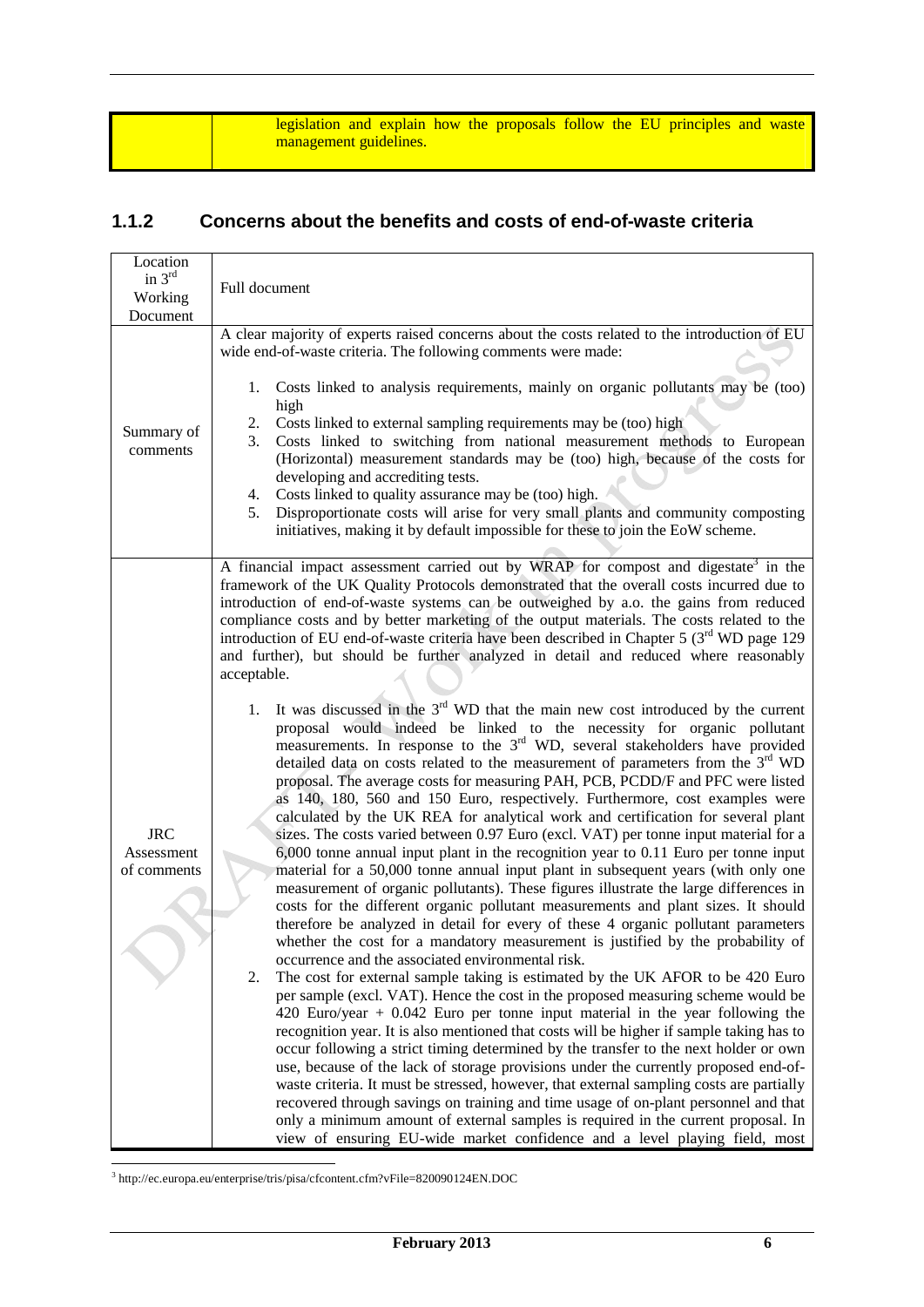legislation and explain how the proposals follow the EU principles and waste management guidelines.

### **1.1.2 Concerns about the benefits and costs of end-of-waste criteria**

| Location<br>in $3rd$<br>Working<br>Document | Full document                                                                                                                                                                                                                                                                                                                                                                                                                                                                                                                                                                                                                                                                                                                                                                                                                                                                                                                                                                                                                                                                                                                                                                                                                                                                                                                                                                                                                                                                                                                                                                                                                                                                                                                                                                                                                                                                                                                                                                                                                                                                                                                                                                                                                                                                                                                                                                                                                                                                                                                                                                                                                                                                                                                                                                                   |
|---------------------------------------------|-------------------------------------------------------------------------------------------------------------------------------------------------------------------------------------------------------------------------------------------------------------------------------------------------------------------------------------------------------------------------------------------------------------------------------------------------------------------------------------------------------------------------------------------------------------------------------------------------------------------------------------------------------------------------------------------------------------------------------------------------------------------------------------------------------------------------------------------------------------------------------------------------------------------------------------------------------------------------------------------------------------------------------------------------------------------------------------------------------------------------------------------------------------------------------------------------------------------------------------------------------------------------------------------------------------------------------------------------------------------------------------------------------------------------------------------------------------------------------------------------------------------------------------------------------------------------------------------------------------------------------------------------------------------------------------------------------------------------------------------------------------------------------------------------------------------------------------------------------------------------------------------------------------------------------------------------------------------------------------------------------------------------------------------------------------------------------------------------------------------------------------------------------------------------------------------------------------------------------------------------------------------------------------------------------------------------------------------------------------------------------------------------------------------------------------------------------------------------------------------------------------------------------------------------------------------------------------------------------------------------------------------------------------------------------------------------------------------------------------------------------------------------------------------------|
| Summary of<br>comments                      | A clear majority of experts raised concerns about the costs related to the introduction of EU<br>wide end-of-waste criteria. The following comments were made:<br>Costs linked to analysis requirements, mainly on organic pollutants may be (too)<br>1.<br>high<br>Costs linked to external sampling requirements may be (too) high<br>2.<br>Costs linked to switching from national measurement methods to European<br>3.<br>(Horizontal) measurement standards may be (too) high, because of the costs for<br>developing and accrediting tests.<br>Costs linked to quality assurance may be (too) high.<br>4.<br>Disproportionate costs will arise for very small plants and community composting<br>5.<br>initiatives, making it by default impossible for these to join the EoW scheme.                                                                                                                                                                                                                                                                                                                                                                                                                                                                                                                                                                                                                                                                                                                                                                                                                                                                                                                                                                                                                                                                                                                                                                                                                                                                                                                                                                                                                                                                                                                                                                                                                                                                                                                                                                                                                                                                                                                                                                                                    |
| <b>JRC</b><br>Assessment<br>of comments     | A financial impact assessment carried out by WRAP for compost and digestate <sup>3</sup> in the<br>framework of the UK Quality Protocols demonstrated that the overall costs incurred due to<br>introduction of end-of-waste systems can be outweighed by a.o. the gains from reduced<br>compliance costs and by better marketing of the output materials. The costs related to the<br>introduction of EU end-of-waste criteria have been described in Chapter 5 $(3rd$ WD page 129<br>and further), but should be further analyzed in detail and reduced where reasonably<br>acceptable.<br>It was discussed in the $3rd$ WD that the main new cost introduced by the current<br>1.<br>proposal would indeed be linked to the necessity for organic pollutant<br>measurements. In response to the 3 <sup>rd</sup> WD, several stakeholders have provided<br>detailed data on costs related to the measurement of parameters from the 3 <sup>rd</sup> WD<br>proposal. The average costs for measuring PAH, PCB, PCDD/F and PFC were listed<br>as 140, 180, 560 and 150 Euro, respectively. Furthermore, cost examples were<br>calculated by the UK REA for analytical work and certification for several plant<br>sizes. The costs varied between 0.97 Euro (excl. VAT) per tonne input material for a<br>$6,000$ tonne annual input plant in the recognition year to 0.11 Euro per tonne input<br>material for a 50,000 tonne annual input plant in subsequent years (with only one<br>measurement of organic pollutants). These figures illustrate the large differences in<br>costs for the different organic pollutant measurements and plant sizes. It should<br>therefore be analyzed in detail for every of these 4 organic pollutant parameters<br>whether the cost for a mandatory measurement is justified by the probability of<br>occurrence and the associated environmental risk.<br>The cost for external sample taking is estimated by the UK AFOR to be 420 Euro<br>2.<br>per sample (excl. VAT). Hence the cost in the proposed measuring scheme would be<br>420 Euro/year $+$ 0.042 Euro per tonne input material in the year following the<br>recognition year. It is also mentioned that costs will be higher if sample taking has to<br>occur following a strict timing determined by the transfer to the next holder or own<br>use, because of the lack of storage provisions under the currently proposed end-of-<br>waste criteria. It must be stressed, however, that external sampling costs are partially<br>recovered through savings on training and time usage of on-plant personnel and that<br>only a minimum amount of external samples is required in the current proposal. In<br>view of ensuring EU-wide market confidence and a level playing field, most |

3 http://ec.europa.eu/enterprise/tris/pisa/cfcontent.cfm?vFile=820090124EN.DOC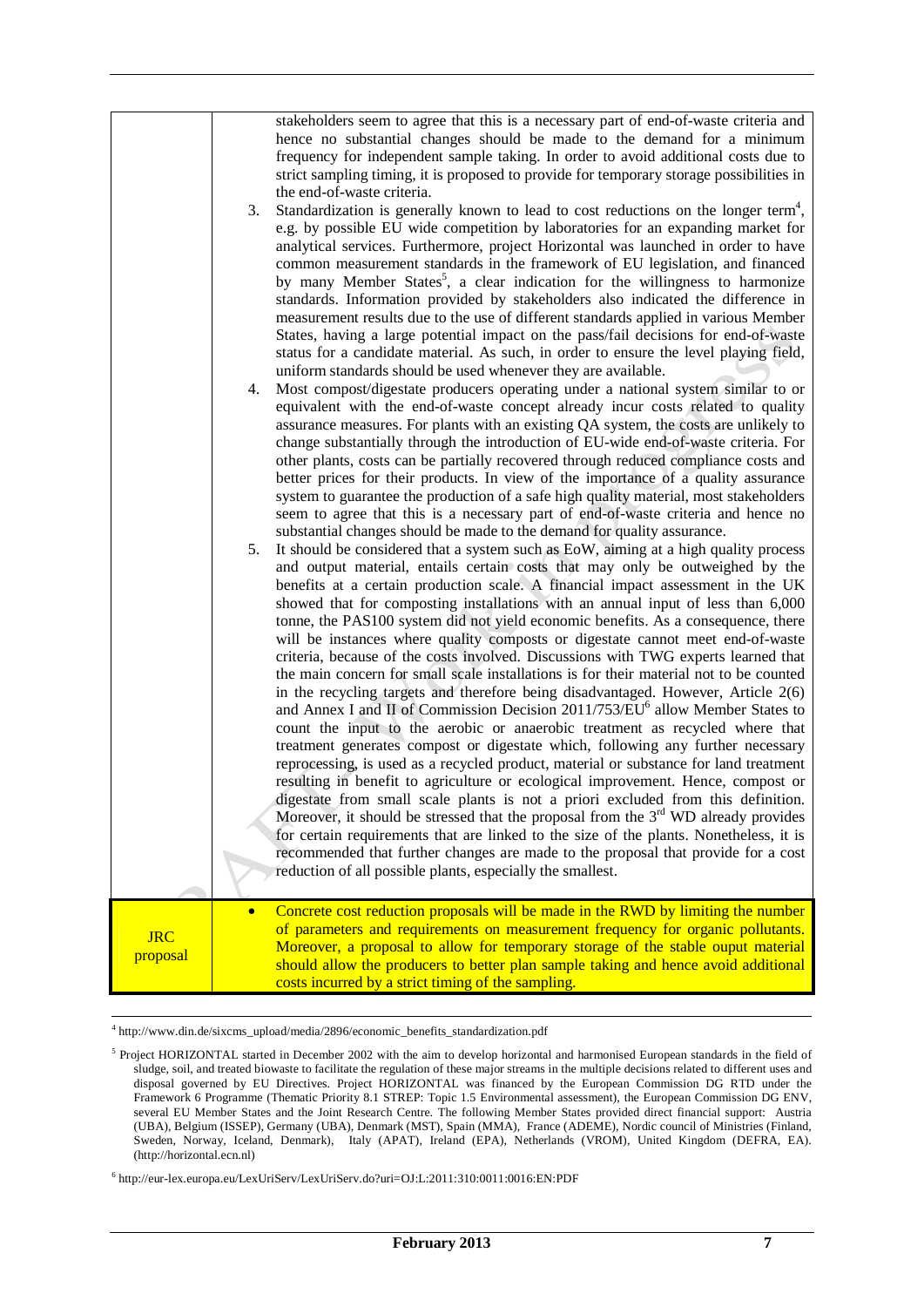|                        | stakeholders seem to agree that this is a necessary part of end-of-waste criteria and<br>hence no substantial changes should be made to the demand for a minimum<br>frequency for independent sample taking. In order to avoid additional costs due to<br>strict sampling timing, it is proposed to provide for temporary storage possibilities in<br>the end-of-waste criteria.<br>Standardization is generally known to lead to cost reductions on the longer term <sup>4</sup> ,<br>3.<br>e.g. by possible EU wide competition by laboratories for an expanding market for<br>analytical services. Furthermore, project Horizontal was launched in order to have<br>common measurement standards in the framework of EU legislation, and financed<br>by many Member States <sup>5</sup> , a clear indication for the willingness to harmonize<br>standards. Information provided by stakeholders also indicated the difference in<br>measurement results due to the use of different standards applied in various Member<br>States, having a large potential impact on the pass/fail decisions for end-of-waste<br>status for a candidate material. As such, in order to ensure the level playing field,<br>uniform standards should be used whenever they are available.<br>Most compost/digestate producers operating under a national system similar to or<br>4.<br>equivalent with the end-of-waste concept already incur costs related to quality<br>assurance measures. For plants with an existing QA system, the costs are unlikely to<br>change substantially through the introduction of EU-wide end-of-waste criteria. For<br>other plants, costs can be partially recovered through reduced compliance costs and<br>better prices for their products. In view of the importance of a quality assurance<br>system to guarantee the production of a safe high quality material, most stakeholders<br>seem to agree that this is a necessary part of end-of-waste criteria and hence no<br>substantial changes should be made to the demand for quality assurance.<br>It should be considered that a system such as EoW, aiming at a high quality process<br>5.<br>and output material, entails certain costs that may only be outweighed by the<br>benefits at a certain production scale. A financial impact assessment in the UK<br>showed that for composting installations with an annual input of less than 6,000<br>tonne, the PAS100 system did not yield economic benefits. As a consequence, there<br>will be instances where quality composts or digestate cannot meet end-of-waste<br>criteria, because of the costs involved. Discussions with TWG experts learned that<br>the main concern for small scale installations is for their material not to be counted<br>in the recycling targets and therefore being disadvantaged. However, Article 2(6)<br>and Annex I and II of Commission Decision 2011/753/EU <sup>6</sup> allow Member States to<br>count the input to the aerobic or anaerobic treatment as recycled where that<br>treatment generates compost or digestate which, following any further necessary<br>reprocessing, is used as a recycled product, material or substance for land treatment<br>resulting in benefit to agriculture or ecological improvement. Hence, compost or<br>digestate from small scale plants is not a priori excluded from this definition.<br>Moreover, it should be stressed that the proposal from the $3rd$ WD already provides<br>for certain requirements that are linked to the size of the plants. Nonetheless, it is |
|------------------------|----------------------------------------------------------------------------------------------------------------------------------------------------------------------------------------------------------------------------------------------------------------------------------------------------------------------------------------------------------------------------------------------------------------------------------------------------------------------------------------------------------------------------------------------------------------------------------------------------------------------------------------------------------------------------------------------------------------------------------------------------------------------------------------------------------------------------------------------------------------------------------------------------------------------------------------------------------------------------------------------------------------------------------------------------------------------------------------------------------------------------------------------------------------------------------------------------------------------------------------------------------------------------------------------------------------------------------------------------------------------------------------------------------------------------------------------------------------------------------------------------------------------------------------------------------------------------------------------------------------------------------------------------------------------------------------------------------------------------------------------------------------------------------------------------------------------------------------------------------------------------------------------------------------------------------------------------------------------------------------------------------------------------------------------------------------------------------------------------------------------------------------------------------------------------------------------------------------------------------------------------------------------------------------------------------------------------------------------------------------------------------------------------------------------------------------------------------------------------------------------------------------------------------------------------------------------------------------------------------------------------------------------------------------------------------------------------------------------------------------------------------------------------------------------------------------------------------------------------------------------------------------------------------------------------------------------------------------------------------------------------------------------------------------------------------------------------------------------------------------------------------------------------------------------------------------------------------------------------------------------------------------------------------------------------------------------------------------------------------------------------------------------------------------------------------------------------------------------------------------------------------------------------------------------------------------------------------------------------|
|                        | recommended that further changes are made to the proposal that provide for a cost<br>reduction of all possible plants, especially the smallest.                                                                                                                                                                                                                                                                                                                                                                                                                                                                                                                                                                                                                                                                                                                                                                                                                                                                                                                                                                                                                                                                                                                                                                                                                                                                                                                                                                                                                                                                                                                                                                                                                                                                                                                                                                                                                                                                                                                                                                                                                                                                                                                                                                                                                                                                                                                                                                                                                                                                                                                                                                                                                                                                                                                                                                                                                                                                                                                                                                                                                                                                                                                                                                                                                                                                                                                                                                                                                                                    |
| <b>JRC</b><br>proposal | Concrete cost reduction proposals will be made in the RWD by limiting the number<br>of parameters and requirements on measurement frequency for organic pollutants.<br>Moreover, a proposal to allow for temporary storage of the stable ouput material<br>should allow the producers to better plan sample taking and hence avoid additional<br>costs incurred by a strict timing of the sampling.                                                                                                                                                                                                                                                                                                                                                                                                                                                                                                                                                                                                                                                                                                                                                                                                                                                                                                                                                                                                                                                                                                                                                                                                                                                                                                                                                                                                                                                                                                                                                                                                                                                                                                                                                                                                                                                                                                                                                                                                                                                                                                                                                                                                                                                                                                                                                                                                                                                                                                                                                                                                                                                                                                                                                                                                                                                                                                                                                                                                                                                                                                                                                                                                |

<sup>-&</sup>lt;br>4  $^4$ http://www.din.de/sixcms\_upload/media/2896/economic\_benefits\_standardization.pdf

<sup>&</sup>lt;sup>5</sup> Project HORIZONTAL started in December 2002 with the aim to develop horizontal and harmonised European standards in the field of sludge, soil, and treated biowaste to facilitate the regulation of these major streams in the multiple decisions related to different uses and disposal governed by EU Directives. Project HORIZONTAL was financed by the European Commission DG RTD under the Framework 6 Programme (Thematic Priority 8.1 STREP: Topic 1.5 Environmental assessment), the European Commission DG ENV, several EU Member States and the Joint Research Centre. The following Member States provided direct financial support: Austria (UBA), Belgium (ISSEP), Germany (UBA), Denmark (MST), Spain (MMA), France (ADEME), Nordic council of Ministries (Finland, Sweden, Norway, Iceland, Denmark), Italy (APAT), Ireland (EPA), Netherlands (VROM), United Kingdom (DEFRA, EA). (http://horizontal.ecn.nl)

<sup>6</sup> http://eur-lex.europa.eu/LexUriServ/LexUriServ.do?uri=OJ:L:2011:310:0011:0016:EN:PDF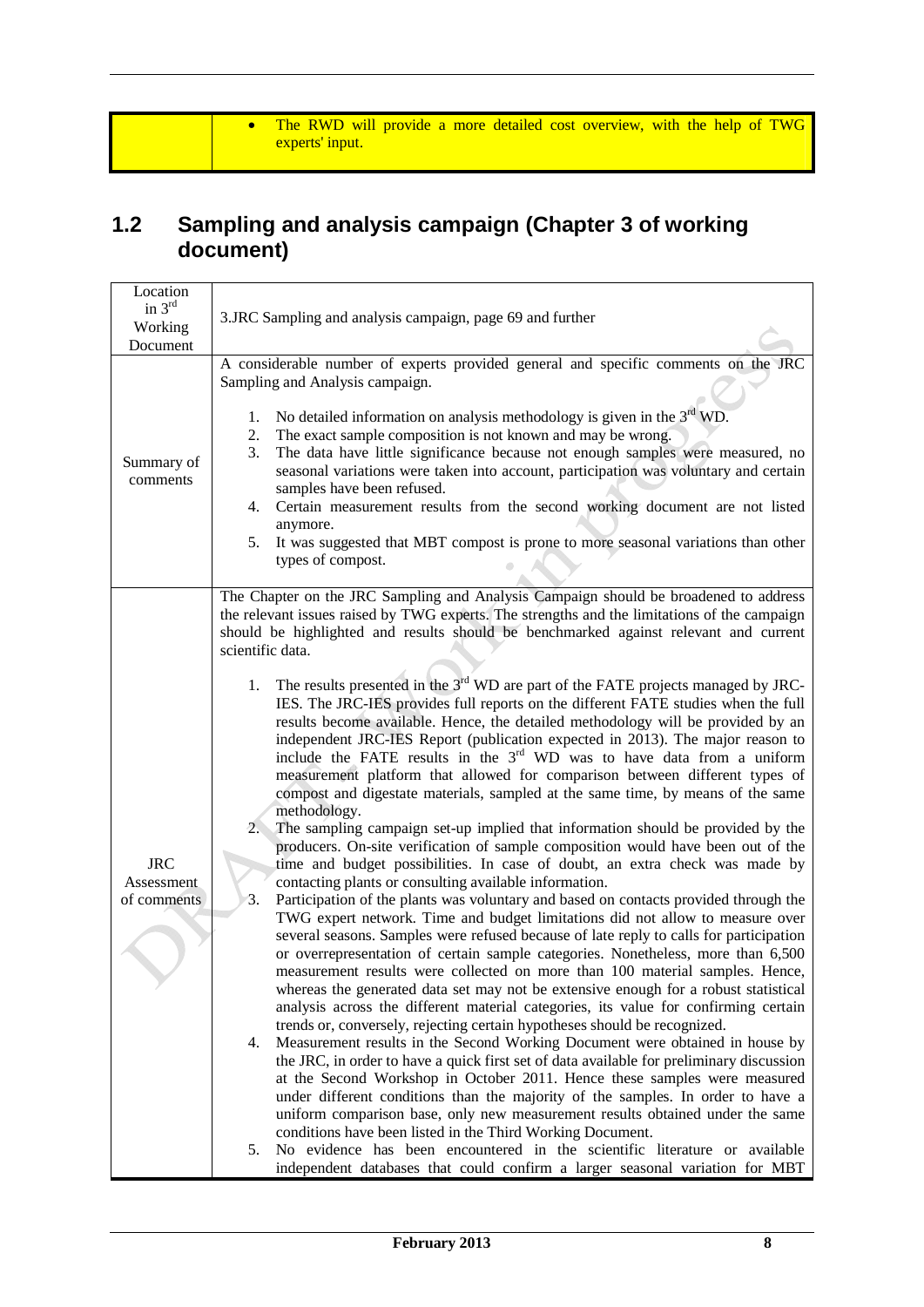• The RWD will provide a more detailed cost overview, with the help of TWG experts' input.

### **1.2 Sampling and analysis campaign (Chapter 3 of working document)**

| Location                                |                                                                                                                                                                                                                                                                                                                                                                                                                                                                                                                                                                                                                                                                                                                                                                                                                                                                                                                                                                                                                                                                                                                                                                                                                                                                                                                                                                                                                                                                                                                                                                                                                                                                                                                                                                                                                                                                                                                                                                                                                                                                                                                                                                                                                                                                                                                                                                                                                                                                                                                                                                                                                            |
|-----------------------------------------|----------------------------------------------------------------------------------------------------------------------------------------------------------------------------------------------------------------------------------------------------------------------------------------------------------------------------------------------------------------------------------------------------------------------------------------------------------------------------------------------------------------------------------------------------------------------------------------------------------------------------------------------------------------------------------------------------------------------------------------------------------------------------------------------------------------------------------------------------------------------------------------------------------------------------------------------------------------------------------------------------------------------------------------------------------------------------------------------------------------------------------------------------------------------------------------------------------------------------------------------------------------------------------------------------------------------------------------------------------------------------------------------------------------------------------------------------------------------------------------------------------------------------------------------------------------------------------------------------------------------------------------------------------------------------------------------------------------------------------------------------------------------------------------------------------------------------------------------------------------------------------------------------------------------------------------------------------------------------------------------------------------------------------------------------------------------------------------------------------------------------------------------------------------------------------------------------------------------------------------------------------------------------------------------------------------------------------------------------------------------------------------------------------------------------------------------------------------------------------------------------------------------------------------------------------------------------------------------------------------------------|
| in $3rd$                                | 3.JRC Sampling and analysis campaign, page 69 and further                                                                                                                                                                                                                                                                                                                                                                                                                                                                                                                                                                                                                                                                                                                                                                                                                                                                                                                                                                                                                                                                                                                                                                                                                                                                                                                                                                                                                                                                                                                                                                                                                                                                                                                                                                                                                                                                                                                                                                                                                                                                                                                                                                                                                                                                                                                                                                                                                                                                                                                                                                  |
| Working<br>Document                     |                                                                                                                                                                                                                                                                                                                                                                                                                                                                                                                                                                                                                                                                                                                                                                                                                                                                                                                                                                                                                                                                                                                                                                                                                                                                                                                                                                                                                                                                                                                                                                                                                                                                                                                                                                                                                                                                                                                                                                                                                                                                                                                                                                                                                                                                                                                                                                                                                                                                                                                                                                                                                            |
| Summary of<br>comments                  | A considerable number of experts provided general and specific comments on the JRC<br>Sampling and Analysis campaign.<br>No detailed information on analysis methodology is given in the $3rd$ WD.<br>1.<br>The exact sample composition is not known and may be wrong.<br>2.<br>The data have little significance because not enough samples were measured, no<br>3.<br>seasonal variations were taken into account, participation was voluntary and certain<br>samples have been refused.<br>Certain measurement results from the second working document are not listed<br>4.<br>anymore.<br>It was suggested that MBT compost is prone to more seasonal variations than other<br>5.<br>types of compost.                                                                                                                                                                                                                                                                                                                                                                                                                                                                                                                                                                                                                                                                                                                                                                                                                                                                                                                                                                                                                                                                                                                                                                                                                                                                                                                                                                                                                                                                                                                                                                                                                                                                                                                                                                                                                                                                                                               |
| <b>JRC</b><br>Assessment<br>of comments | The Chapter on the JRC Sampling and Analysis Campaign should be broadened to address<br>the relevant issues raised by TWG experts. The strengths and the limitations of the campaign<br>should be highlighted and results should be benchmarked against relevant and current<br>scientific data.<br>The results presented in the $3rd$ WD are part of the FATE projects managed by JRC-<br>1.<br>IES. The JRC-IES provides full reports on the different FATE studies when the full<br>results become available. Hence, the detailed methodology will be provided by an<br>independent JRC-IES Report (publication expected in 2013). The major reason to<br>include the FATE results in the $3rd$ WD was to have data from a uniform<br>measurement platform that allowed for comparison between different types of<br>compost and digestate materials, sampled at the same time, by means of the same<br>methodology.<br>2.<br>The sampling campaign set-up implied that information should be provided by the<br>producers. On-site verification of sample composition would have been out of the<br>time and budget possibilities. In case of doubt, an extra check was made by<br>contacting plants or consulting available information.<br>3.<br>Participation of the plants was voluntary and based on contacts provided through the<br>TWG expert network. Time and budget limitations did not allow to measure over<br>several seasons. Samples were refused because of late reply to calls for participation<br>or overrepresentation of certain sample categories. Nonetheless, more than 6,500<br>measurement results were collected on more than 100 material samples. Hence,<br>whereas the generated data set may not be extensive enough for a robust statistical<br>analysis across the different material categories, its value for confirming certain<br>trends or, conversely, rejecting certain hypotheses should be recognized.<br>Measurement results in the Second Working Document were obtained in house by<br>4.<br>the JRC, in order to have a quick first set of data available for preliminary discussion<br>at the Second Workshop in October 2011. Hence these samples were measured<br>under different conditions than the majority of the samples. In order to have a<br>uniform comparison base, only new measurement results obtained under the same<br>conditions have been listed in the Third Working Document.<br>No evidence has been encountered in the scientific literature or available<br>5.<br>independent databases that could confirm a larger seasonal variation for MBT |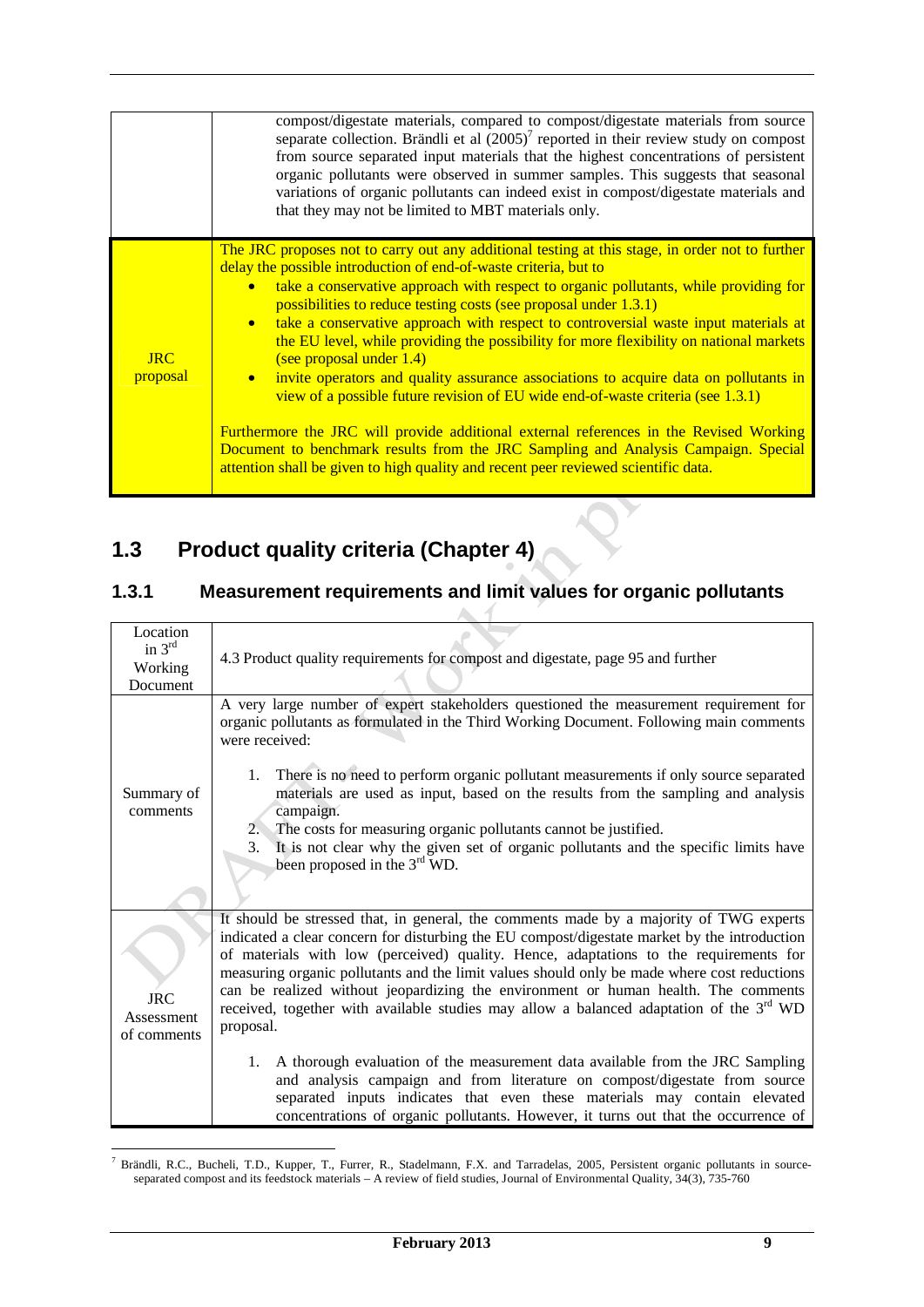|                        | compost/digestate materials, compared to compost/digestate materials from source<br>separate collection. Brändli et al $(2005)^7$ reported in their review study on compost<br>from source separated input materials that the highest concentrations of persistent<br>organic pollutants were observed in summer samples. This suggests that seasonal<br>variations of organic pollutants can indeed exist in compost/digestate materials and<br>that they may not be limited to MBT materials only.                                                                                                                                                                                                                                                                                                                                                                                                                                                                                                                                 |
|------------------------|--------------------------------------------------------------------------------------------------------------------------------------------------------------------------------------------------------------------------------------------------------------------------------------------------------------------------------------------------------------------------------------------------------------------------------------------------------------------------------------------------------------------------------------------------------------------------------------------------------------------------------------------------------------------------------------------------------------------------------------------------------------------------------------------------------------------------------------------------------------------------------------------------------------------------------------------------------------------------------------------------------------------------------------|
| <b>JRC</b><br>proposal | The JRC proposes not to carry out any additional testing at this stage, in order not to further<br>delay the possible introduction of end-of-waste criteria, but to<br>take a conservative approach with respect to organic pollutants, while providing for<br>$\bullet$<br>possibilities to reduce testing costs (see proposal under 1.3.1)<br>take a conservative approach with respect to controversial waste input materials at<br>$\bullet$<br>the EU level, while providing the possibility for more flexibility on national markets<br>(see proposal under 1.4)<br>invite operators and quality assurance associations to acquire data on pollutants in<br>$\bullet$<br>view of a possible future revision of EU wide end-of-waste criteria (see 1.3.1)<br>Furthermore the JRC will provide additional external references in the Revised Working<br>Document to benchmark results from the JRC Sampling and Analysis Campaign. Special<br>attention shall be given to high quality and recent peer reviewed scientific data. |

# **1.3 Product quality criteria (Chapter 4)**

# **1.3.1 Measurement requirements and limit values for organic pollutants**

| Location<br>in $3rd$                    |                                                                                                                                                                                                                                                                                                                                                                                                                                                                                                                                                                                                               |
|-----------------------------------------|---------------------------------------------------------------------------------------------------------------------------------------------------------------------------------------------------------------------------------------------------------------------------------------------------------------------------------------------------------------------------------------------------------------------------------------------------------------------------------------------------------------------------------------------------------------------------------------------------------------|
| Working                                 | 4.3 Product quality requirements for compost and digestate, page 95 and further                                                                                                                                                                                                                                                                                                                                                                                                                                                                                                                               |
| Document                                |                                                                                                                                                                                                                                                                                                                                                                                                                                                                                                                                                                                                               |
| Summary of<br>comments                  | A very large number of expert stakeholders questioned the measurement requirement for<br>organic pollutants as formulated in the Third Working Document. Following main comments<br>were received:<br>1. There is no need to perform organic pollutant measurements if only source separated<br>materials are used as input, based on the results from the sampling and analysis<br>campaign.<br>2. The costs for measuring organic pollutants cannot be justified.<br>It is not clear why the given set of organic pollutants and the specific limits have<br>3.<br>been proposed in the 3 <sup>rd</sup> WD. |
| <b>JRC</b><br>Assessment<br>of comments | It should be stressed that, in general, the comments made by a majority of TWG experts<br>indicated a clear concern for disturbing the EU compost/digestate market by the introduction<br>of materials with low (perceived) quality. Hence, adaptations to the requirements for<br>measuring organic pollutants and the limit values should only be made where cost reductions<br>can be realized without jeopardizing the environment or human health. The comments<br>received, together with available studies may allow a balanced adaptation of the 3 <sup>rd</sup> WD<br>proposal.                      |
|                                         | A thorough evaluation of the measurement data available from the JRC Sampling<br>1.<br>and analysis campaign and from literature on compost/digestate from source<br>separated inputs indicates that even these materials may contain elevated<br>concentrations of organic pollutants. However, it turns out that the occurrence of                                                                                                                                                                                                                                                                          |

 7 Brändli, R.C., Bucheli, T.D., Kupper, T., Furrer, R., Stadelmann, F.X. and Tarradelas, 2005, Persistent organic pollutants in sourceseparated compost and its feedstock materials – A review of field studies, Journal of Environmental Quality, 34(3), 735-760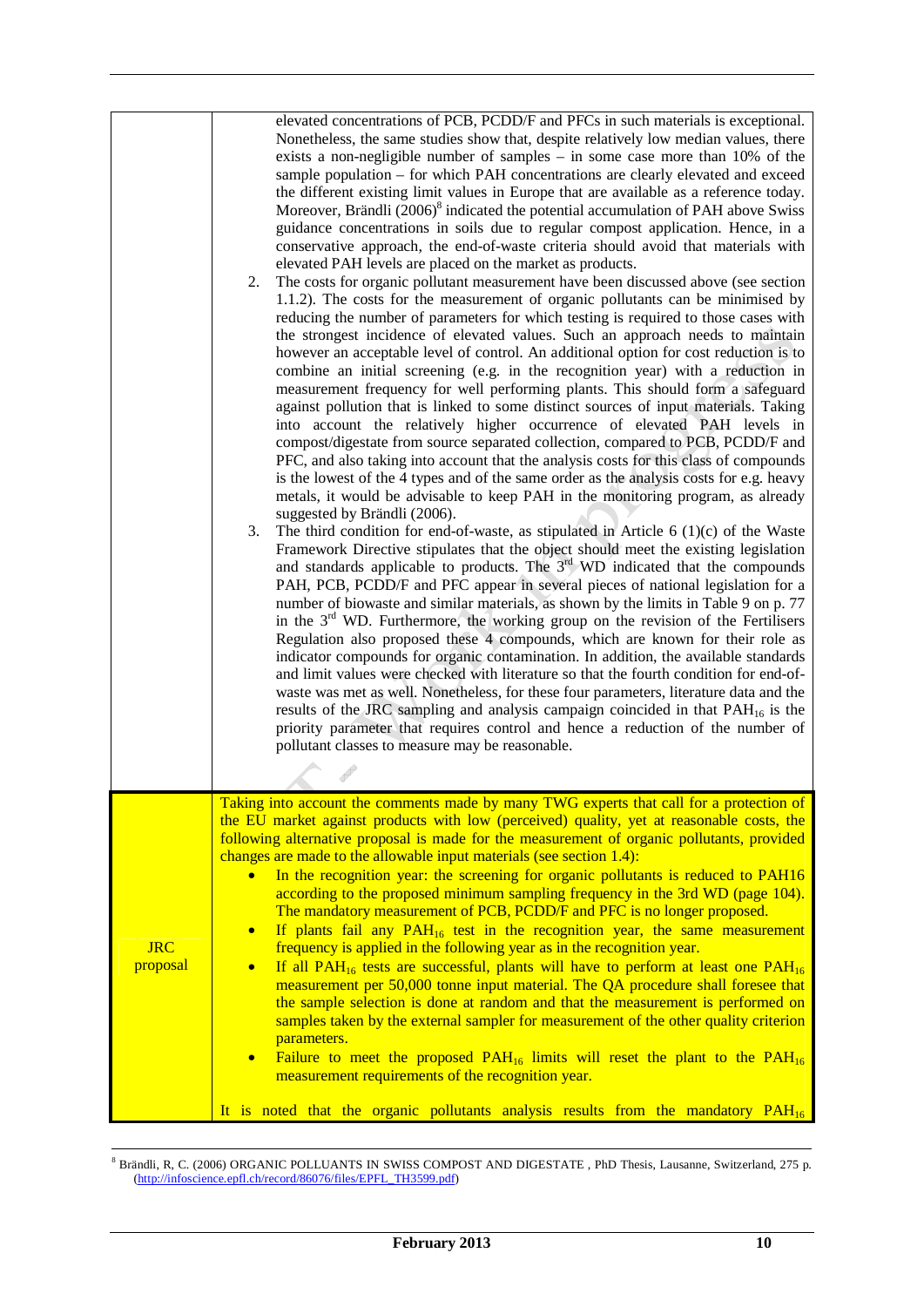| 2.<br>3.                                                                   | elevated concentrations of PCB, PCDD/F and PFCs in such materials is exceptional.<br>Nonetheless, the same studies show that, despite relatively low median values, there<br>exists a non-negligible number of samples $-$ in some case more than 10% of the<br>sample population - for which PAH concentrations are clearly elevated and exceed<br>the different existing limit values in Europe that are available as a reference today.<br>Moreover, Brändli (2006) <sup>8</sup> indicated the potential accumulation of PAH above Swiss<br>guidance concentrations in soils due to regular compost application. Hence, in a<br>conservative approach, the end-of-waste criteria should avoid that materials with<br>elevated PAH levels are placed on the market as products.<br>The costs for organic pollutant measurement have been discussed above (see section<br>1.1.2). The costs for the measurement of organic pollutants can be minimised by<br>reducing the number of parameters for which testing is required to those cases with<br>the strongest incidence of elevated values. Such an approach needs to maintain<br>however an acceptable level of control. An additional option for cost reduction is to<br>combine an initial screening (e.g. in the recognition year) with a reduction in<br>measurement frequency for well performing plants. This should form a safeguard<br>against pollution that is linked to some distinct sources of input materials. Taking<br>into account the relatively higher occurrence of elevated PAH levels in<br>compost/digestate from source separated collection, compared to PCB, PCDD/F and<br>PFC, and also taking into account that the analysis costs for this class of compounds<br>is the lowest of the 4 types and of the same order as the analysis costs for e.g. heavy<br>metals, it would be advisable to keep PAH in the monitoring program, as already<br>suggested by Brändli (2006).<br>The third condition for end-of-waste, as stipulated in Article $6(1)(c)$ of the Waste<br>Framework Directive stipulates that the object should meet the existing legislation<br>and standards applicable to products. The 3 <sup>rd</sup> WD indicated that the compounds<br>PAH, PCB, PCDD/F and PFC appear in several pieces of national legislation for a<br>number of biowaste and similar materials, as shown by the limits in Table 9 on p. 77<br>in the $3rd$ WD. Furthermore, the working group on the revision of the Fertilisers<br>Regulation also proposed these 4 compounds, which are known for their role as<br>indicator compounds for organic contamination. In addition, the available standards<br>and limit values were checked with literature so that the fourth condition for end-of-<br>waste was met as well. Nonetheless, for these four parameters, literature data and the<br>results of the JRC sampling and analysis campaign coincided in that $PAH16$ is the<br>priority parameter that requires control and hence a reduction of the number of<br>pollutant classes to measure may be reasonable. |
|----------------------------------------------------------------------------|------------------------------------------------------------------------------------------------------------------------------------------------------------------------------------------------------------------------------------------------------------------------------------------------------------------------------------------------------------------------------------------------------------------------------------------------------------------------------------------------------------------------------------------------------------------------------------------------------------------------------------------------------------------------------------------------------------------------------------------------------------------------------------------------------------------------------------------------------------------------------------------------------------------------------------------------------------------------------------------------------------------------------------------------------------------------------------------------------------------------------------------------------------------------------------------------------------------------------------------------------------------------------------------------------------------------------------------------------------------------------------------------------------------------------------------------------------------------------------------------------------------------------------------------------------------------------------------------------------------------------------------------------------------------------------------------------------------------------------------------------------------------------------------------------------------------------------------------------------------------------------------------------------------------------------------------------------------------------------------------------------------------------------------------------------------------------------------------------------------------------------------------------------------------------------------------------------------------------------------------------------------------------------------------------------------------------------------------------------------------------------------------------------------------------------------------------------------------------------------------------------------------------------------------------------------------------------------------------------------------------------------------------------------------------------------------------------------------------------------------------------------------------------------------------------------------------------------------------------------------------------------------------------------------------------------------------------------------------------------------------------------------------------------------------------------------------------------------------|
| $\bullet$<br>$\bullet$<br><b>JRC</b><br>proposal<br>$\bullet$<br>$\bullet$ | Taking into account the comments made by many TWG experts that call for a protection of<br>the EU market against products with low (perceived) quality, yet at reasonable costs, the<br>following alternative proposal is made for the measurement of organic pollutants, provided<br>changes are made to the allowable input materials (see section 1.4):<br>In the recognition year: the screening for organic pollutants is reduced to PAH16<br>according to the proposed minimum sampling frequency in the 3rd WD (page 104).<br>The mandatory measurement of PCB, PCDD/F and PFC is no longer proposed.<br>If plants fail any $PAH_{16}$ test in the recognition year, the same measurement<br>frequency is applied in the following year as in the recognition year.<br>If all PAH <sub>16</sub> tests are successful, plants will have to perform at least one PAH <sub>16</sub><br>measurement per 50,000 tonne input material. The QA procedure shall foresee that<br>the sample selection is done at random and that the measurement is performed on<br>samples taken by the external sampler for measurement of the other quality criterion<br>parameters.<br>Failure to meet the proposed $PAH_{16}$ limits will reset the plant to the $PAH_{16}$<br>measurement requirements of the recognition year.<br>It is noted that the organic pollutants analysis results from the mandatory PAH <sub>16</sub>                                                                                                                                                                                                                                                                                                                                                                                                                                                                                                                                                                                                                                                                                                                                                                                                                                                                                                                                                                                                                                                                                                                                                                                                                                                                                                                                                                                                                                                                                                                                                                                                                                                                                 |

 $\frac{1}{8}$  Brändli, R, C. (2006) ORGANIC POLLUANTS IN SWISS COMPOST AND DIGESTATE , PhD Thesis, Lausanne, Switzerland, 275 p. (http://infoscience.epfl.ch/record/86076/files/EPFL\_TH3599.pdf)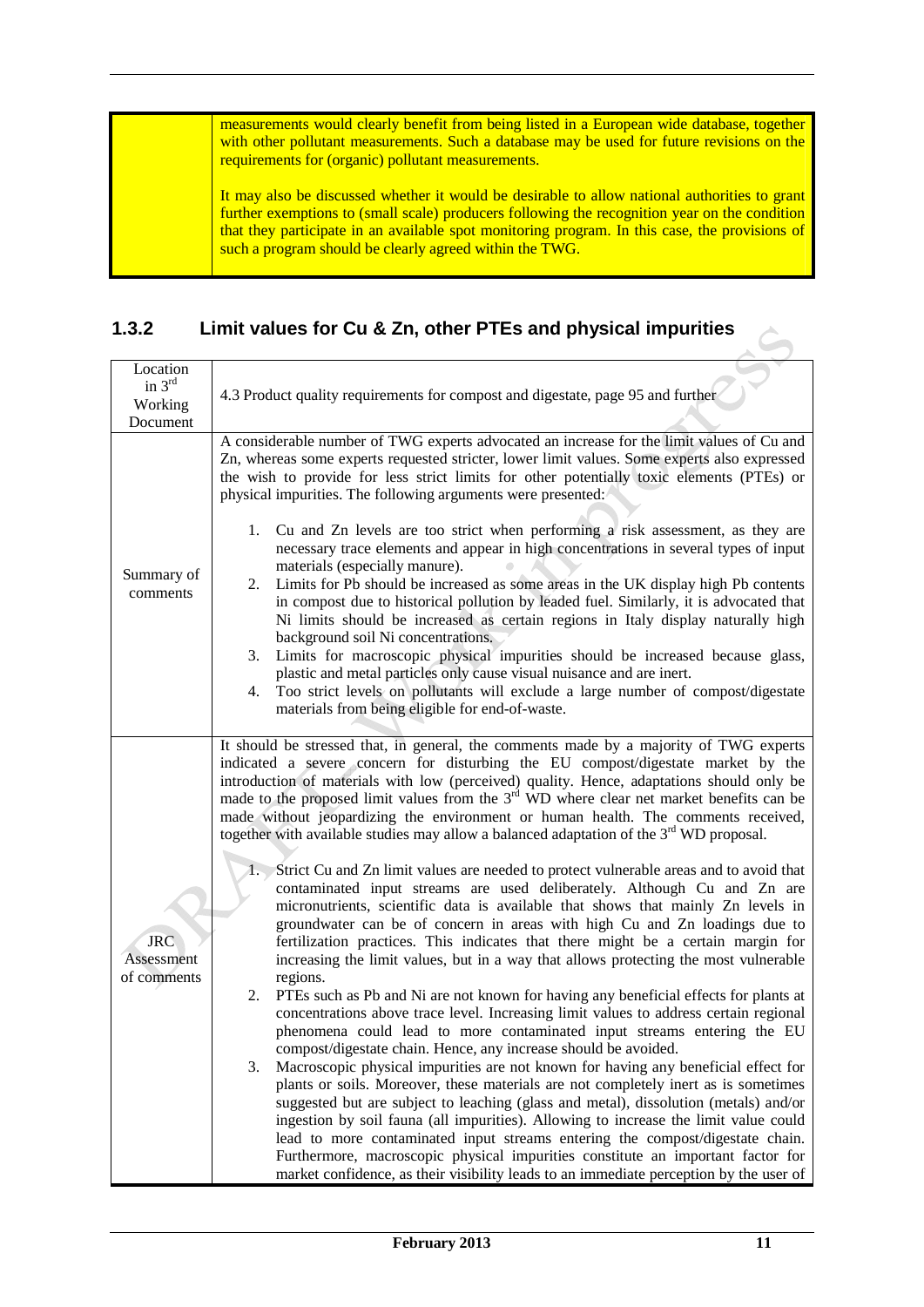measurements would clearly benefit from being listed in a European wide database, together with other pollutant measurements. Such a database may be used for future revisions on the requirements for (organic) pollutant measurements.

It may also be discussed whether it would be desirable to allow national authorities to grant further exemptions to (small scale) producers following the recognition year on the condition that they participate in an available spot monitoring program. In this case, the provisions of such a program should be clearly agreed within the TWG.

### **1.3.2 Limit values for Cu & Zn, other PTEs and physical impurities**

| Location                         |                                                                                                                                                                                                                                                                                                                                                                                                                                                                                                                                                                                                                                                                                                                                                                                                                                                                                                                                                                                                                                                                                                                                                                                                                                                                                                                                                                                                                                                                                                                                                                                                                                                                                                                                                                                                                                                                                                                                                                                                                                                                         |
|----------------------------------|-------------------------------------------------------------------------------------------------------------------------------------------------------------------------------------------------------------------------------------------------------------------------------------------------------------------------------------------------------------------------------------------------------------------------------------------------------------------------------------------------------------------------------------------------------------------------------------------------------------------------------------------------------------------------------------------------------------------------------------------------------------------------------------------------------------------------------------------------------------------------------------------------------------------------------------------------------------------------------------------------------------------------------------------------------------------------------------------------------------------------------------------------------------------------------------------------------------------------------------------------------------------------------------------------------------------------------------------------------------------------------------------------------------------------------------------------------------------------------------------------------------------------------------------------------------------------------------------------------------------------------------------------------------------------------------------------------------------------------------------------------------------------------------------------------------------------------------------------------------------------------------------------------------------------------------------------------------------------------------------------------------------------------------------------------------------------|
| in $3^{rd}$                      |                                                                                                                                                                                                                                                                                                                                                                                                                                                                                                                                                                                                                                                                                                                                                                                                                                                                                                                                                                                                                                                                                                                                                                                                                                                                                                                                                                                                                                                                                                                                                                                                                                                                                                                                                                                                                                                                                                                                                                                                                                                                         |
| Working                          | 4.3 Product quality requirements for compost and digestate, page 95 and further                                                                                                                                                                                                                                                                                                                                                                                                                                                                                                                                                                                                                                                                                                                                                                                                                                                                                                                                                                                                                                                                                                                                                                                                                                                                                                                                                                                                                                                                                                                                                                                                                                                                                                                                                                                                                                                                                                                                                                                         |
| Document                         |                                                                                                                                                                                                                                                                                                                                                                                                                                                                                                                                                                                                                                                                                                                                                                                                                                                                                                                                                                                                                                                                                                                                                                                                                                                                                                                                                                                                                                                                                                                                                                                                                                                                                                                                                                                                                                                                                                                                                                                                                                                                         |
| Summary of<br>comments           | A considerable number of TWG experts advocated an increase for the limit values of Cu and<br>Zn, whereas some experts requested stricter, lower limit values. Some experts also expressed<br>the wish to provide for less strict limits for other potentially toxic elements (PTEs) or<br>physical impurities. The following arguments were presented:<br>1. Cu and Zn levels are too strict when performing a risk assessment, as they are<br>necessary trace elements and appear in high concentrations in several types of input<br>materials (especially manure).<br>Limits for Pb should be increased as some areas in the UK display high Pb contents<br>2.<br>in compost due to historical pollution by leaded fuel. Similarly, it is advocated that<br>Ni limits should be increased as certain regions in Italy display naturally high<br>background soil Ni concentrations.<br>Limits for macroscopic physical impurities should be increased because glass,<br>3.                                                                                                                                                                                                                                                                                                                                                                                                                                                                                                                                                                                                                                                                                                                                                                                                                                                                                                                                                                                                                                                                                            |
|                                  | plastic and metal particles only cause visual nuisance and are inert.<br>Too strict levels on pollutants will exclude a large number of compost/digestate<br>4.<br>materials from being eligible for end-of-waste.                                                                                                                                                                                                                                                                                                                                                                                                                                                                                                                                                                                                                                                                                                                                                                                                                                                                                                                                                                                                                                                                                                                                                                                                                                                                                                                                                                                                                                                                                                                                                                                                                                                                                                                                                                                                                                                      |
| JRC<br>Assessment<br>of comments | It should be stressed that, in general, the comments made by a majority of TWG experts<br>indicated a severe concern for disturbing the EU compost/digestate market by the<br>introduction of materials with low (perceived) quality. Hence, adaptations should only be<br>made to the proposed limit values from the 3 <sup>rd</sup> WD where clear net market benefits can be<br>made without jeopardizing the environment or human health. The comments received,<br>together with available studies may allow a balanced adaptation of the $3rd$ WD proposal.<br>Strict Cu and Zn limit values are needed to protect vulnerable areas and to avoid that<br>contaminated input streams are used deliberately. Although Cu and Zn are<br>micronutrients, scientific data is available that shows that mainly Zn levels in<br>groundwater can be of concern in areas with high Cu and Zn loadings due to<br>fertilization practices. This indicates that there might be a certain margin for<br>increasing the limit values, but in a way that allows protecting the most vulnerable<br>regions.<br>2.<br>PTEs such as Pb and Ni are not known for having any beneficial effects for plants at<br>concentrations above trace level. Increasing limit values to address certain regional<br>phenomena could lead to more contaminated input streams entering the EU<br>compost/digestate chain. Hence, any increase should be avoided.<br>Macroscopic physical impurities are not known for having any beneficial effect for<br>3.<br>plants or soils. Moreover, these materials are not completely inert as is sometimes<br>suggested but are subject to leaching (glass and metal), dissolution (metals) and/or<br>ingestion by soil fauna (all impurities). Allowing to increase the limit value could<br>lead to more contaminated input streams entering the compost/digestate chain.<br>Furthermore, macroscopic physical impurities constitute an important factor for<br>market confidence, as their visibility leads to an immediate perception by the user of |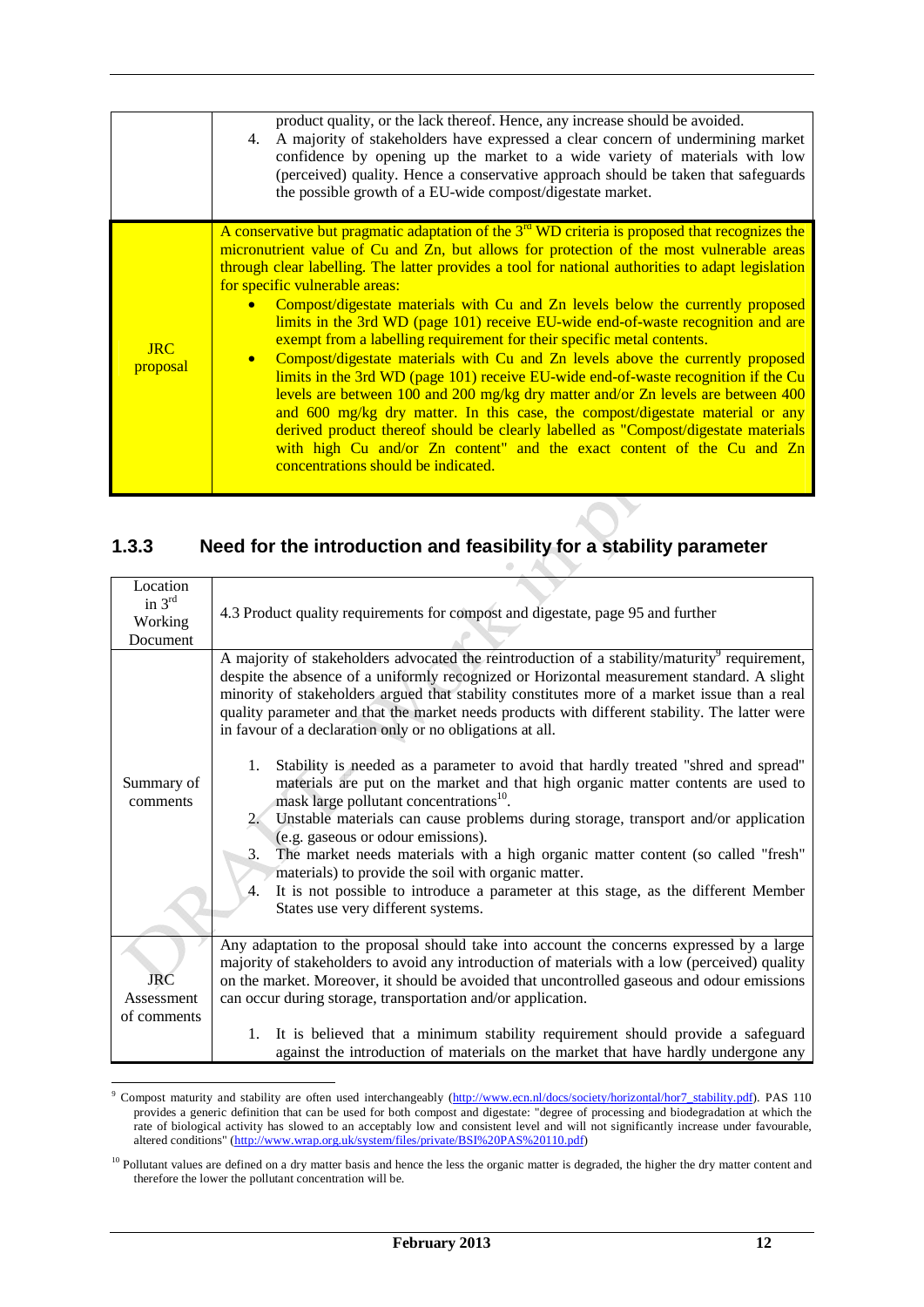|                          | product quality, or the lack thereof. Hence, any increase should be avoided.<br>4. A majority of stakeholders have expressed a clear concern of undermining market<br>confidence by opening up the market to a wide variety of materials with low<br>(perceived) quality. Hence a conservative approach should be taken that safeguards<br>the possible growth of a EU-wide compost/digestate market.                                                                                                                                                                                                                                                                                                                                                                                                                                                                                                                                                                                                                                                                                                                                             |
|--------------------------|---------------------------------------------------------------------------------------------------------------------------------------------------------------------------------------------------------------------------------------------------------------------------------------------------------------------------------------------------------------------------------------------------------------------------------------------------------------------------------------------------------------------------------------------------------------------------------------------------------------------------------------------------------------------------------------------------------------------------------------------------------------------------------------------------------------------------------------------------------------------------------------------------------------------------------------------------------------------------------------------------------------------------------------------------------------------------------------------------------------------------------------------------|
| $_{\rm IRC}$<br>proposal | A conservative but pragmatic adaptation of the 3 <sup>rd</sup> WD criteria is proposed that recognizes the<br>micronutrient value of Cu and Zn, but allows for protection of the most vulnerable areas<br>through clear labelling. The latter provides a tool for national authorities to adapt legislation<br>for specific vulnerable areas:<br>Compost/digestate materials with Cu and Zn levels below the currently proposed<br>limits in the 3rd WD (page 101) receive EU-wide end-of-waste recognition and are<br>exempt from a labelling requirement for their specific metal contents.<br>Compost/digestate materials with Cu and Zn levels above the currently proposed<br>limits in the 3rd WD (page 101) receive EU-wide end-of-waste recognition if the Cu<br>levels are between 100 and 200 mg/kg dry matter and/or Zn levels are between 400<br>and 600 mg/kg dry matter. In this case, the compost/digestate material or any<br>derived product thereof should be clearly labelled as "Compost/digestate materials<br>with high Cu and/or Zn content" and the exact content of the Cu and Zn<br>concentrations should be indicated. |

# **1.3.3 Need for the introduction and feasibility for a stability parameter**

| Location<br>in $3rd$<br>Working<br>Document | 4.3 Product quality requirements for compost and digestate, page 95 and further                                                                                                                                                                                                                                                                                                                                                                                         |
|---------------------------------------------|-------------------------------------------------------------------------------------------------------------------------------------------------------------------------------------------------------------------------------------------------------------------------------------------------------------------------------------------------------------------------------------------------------------------------------------------------------------------------|
|                                             | A majority of stakeholders advocated the reintroduction of a stability/maturity <sup>9</sup> requirement,<br>despite the absence of a uniformly recognized or Horizontal measurement standard. A slight<br>minority of stakeholders argued that stability constitutes more of a market issue than a real<br>quality parameter and that the market needs products with different stability. The latter were<br>in favour of a declaration only or no obligations at all. |
| Summary of<br>comments                      | Stability is needed as a parameter to avoid that hardly treated "shred and spread"<br>1.<br>materials are put on the market and that high organic matter contents are used to<br>mask large pollutant concentrations <sup>10</sup> .<br>Unstable materials can cause problems during storage, transport and/or application<br>(e.g. gaseous or odour emissions).                                                                                                        |
|                                             | The market needs materials with a high organic matter content (so called "fresh"<br>3.<br>materials) to provide the soil with organic matter.<br>It is not possible to introduce a parameter at this stage, as the different Member<br>4.<br>States use very different systems.                                                                                                                                                                                         |
| <b>JRC</b><br>Assessment<br>of comments     | Any adaptation to the proposal should take into account the concerns expressed by a large<br>majority of stakeholders to avoid any introduction of materials with a low (perceived) quality<br>on the market. Moreover, it should be avoided that uncontrolled gaseous and odour emissions<br>can occur during storage, transportation and/or application.                                                                                                              |
|                                             | It is believed that a minimum stability requirement should provide a safeguard<br>1.<br>against the introduction of materials on the market that have hardly undergone any                                                                                                                                                                                                                                                                                              |

erminisment maturity and stability are often used interchangeably (http://www.ecn.nl/docs/society/horizontal/hor7\_stability.pdf). PAS 110 provides a generic definition that can be used for both compost and digestate: "degree of processing and biodegradation at which the rate of biological activity has slowed to an acceptably low and consistent level and will not significantly increase under favourable, altered conditions" (http://www.wrap.org.uk/system/files/private/BSI%20PAS%20110.pdf)

<sup>&</sup>lt;sup>10</sup> Pollutant values are defined on a dry matter basis and hence the less the organic matter is degraded, the higher the dry matter content and therefore the lower the pollutant concentration will be.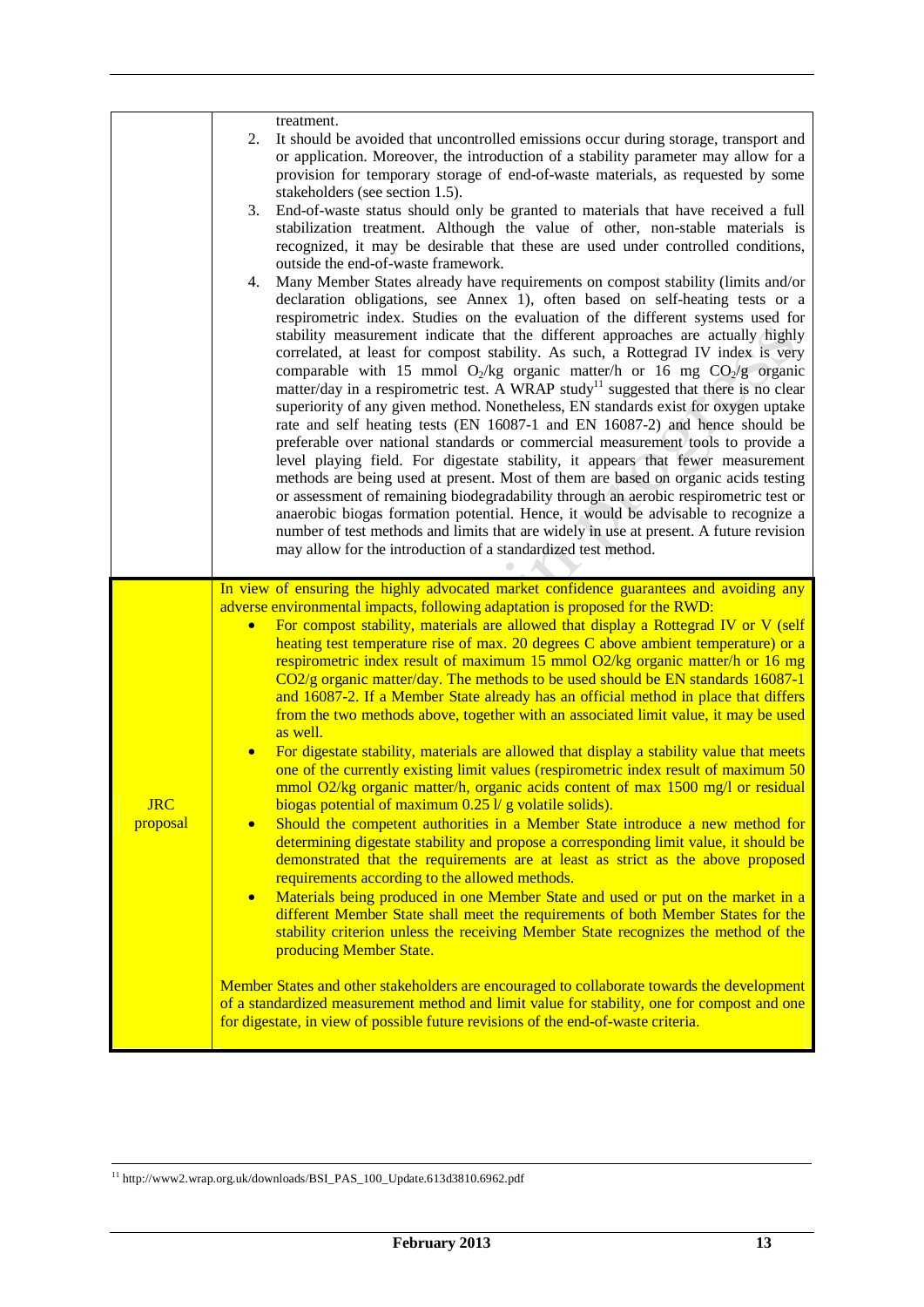|                        | treatment.<br>2.<br>It should be avoided that uncontrolled emissions occur during storage, transport and<br>or application. Moreover, the introduction of a stability parameter may allow for a<br>provision for temporary storage of end-of-waste materials, as requested by some<br>stakeholders (see section 1.5).<br>End-of-waste status should only be granted to materials that have received a full<br>3.<br>stabilization treatment. Although the value of other, non-stable materials is<br>recognized, it may be desirable that these are used under controlled conditions,<br>outside the end-of-waste framework.<br>Many Member States already have requirements on compost stability (limits and/or<br>4.<br>declaration obligations, see Annex 1), often based on self-heating tests or a<br>respirometric index. Studies on the evaluation of the different systems used for<br>stability measurement indicate that the different approaches are actually highly<br>correlated, at least for compost stability. As such, a Rottegrad IV index is very<br>comparable with 15 mmol $O_2$ /kg organic matter/h or 16 mg $CO_2$ /g organic<br>matter/day in a respirometric test. A WRAP study <sup>11</sup> suggested that there is no clear<br>superiority of any given method. Nonetheless, EN standards exist for oxygen uptake<br>rate and self heating tests (EN 16087-1 and EN 16087-2) and hence should be<br>preferable over national standards or commercial measurement tools to provide a<br>level playing field. For digestate stability, it appears that fewer measurement<br>methods are being used at present. Most of them are based on organic acids testing<br>or assessment of remaining biodegradability through an aerobic respirometric test or<br>anaerobic biogas formation potential. Hence, it would be advisable to recognize a<br>number of test methods and limits that are widely in use at present. A future revision<br>may allow for the introduction of a standardized test method. |
|------------------------|-----------------------------------------------------------------------------------------------------------------------------------------------------------------------------------------------------------------------------------------------------------------------------------------------------------------------------------------------------------------------------------------------------------------------------------------------------------------------------------------------------------------------------------------------------------------------------------------------------------------------------------------------------------------------------------------------------------------------------------------------------------------------------------------------------------------------------------------------------------------------------------------------------------------------------------------------------------------------------------------------------------------------------------------------------------------------------------------------------------------------------------------------------------------------------------------------------------------------------------------------------------------------------------------------------------------------------------------------------------------------------------------------------------------------------------------------------------------------------------------------------------------------------------------------------------------------------------------------------------------------------------------------------------------------------------------------------------------------------------------------------------------------------------------------------------------------------------------------------------------------------------------------------------------------------------------------------------------------------------------------------------------------------------|
| <u>JRC</u><br>proposal | In view of ensuring the highly advocated market confidence guarantees and avoiding any<br>adverse environmental impacts, following adaptation is proposed for the RWD:<br>For compost stability, materials are allowed that display a Rottegrad IV or V (self<br>heating test temperature rise of max. 20 degrees C above ambient temperature) or a<br>respirometric index result of maximum 15 mmol O2/kg organic matter/h or 16 mg<br>CO2/g organic matter/day. The methods to be used should be EN standards 16087-1<br>and 16087-2. If a Member State already has an official method in place that differs<br>from the two methods above, together with an associated limit value, it may be used<br>as well.<br>For digestate stability, materials are allowed that display a stability value that meets<br>$\bullet$<br>one of the currently existing limit values (respirometric index result of maximum 50<br>mmol O2/kg organic matter/h, organic acids content of max 1500 mg/l or residual<br>biogas potential of maximum $0.25$ l/ g volatile solids).<br>Should the competent authorities in a Member State introduce a new method for<br>$\bullet$<br>determining digestate stability and propose a corresponding limit value, it should be<br>demonstrated that the requirements are at least as strict as the above proposed<br>requirements according to the allowed methods.<br>Materials being produced in one Member State and used or put on the market in a<br>$\bullet$<br>different Member State shall meet the requirements of both Member States for the<br>stability criterion unless the receiving Member State recognizes the method of the<br>producing Member State.<br>Member States and other stakeholders are encouraged to collaborate towards the development<br>of a standardized measurement method and limit value for stability, one for compost and one<br>for digestate, in view of possible future revisions of the end-of-waste criteria.                                             |

 $^{\rm 11}$ http://www2.wrap.org.uk/downloads/BSI\_PAS\_100\_Update.613d3810.6962.pdf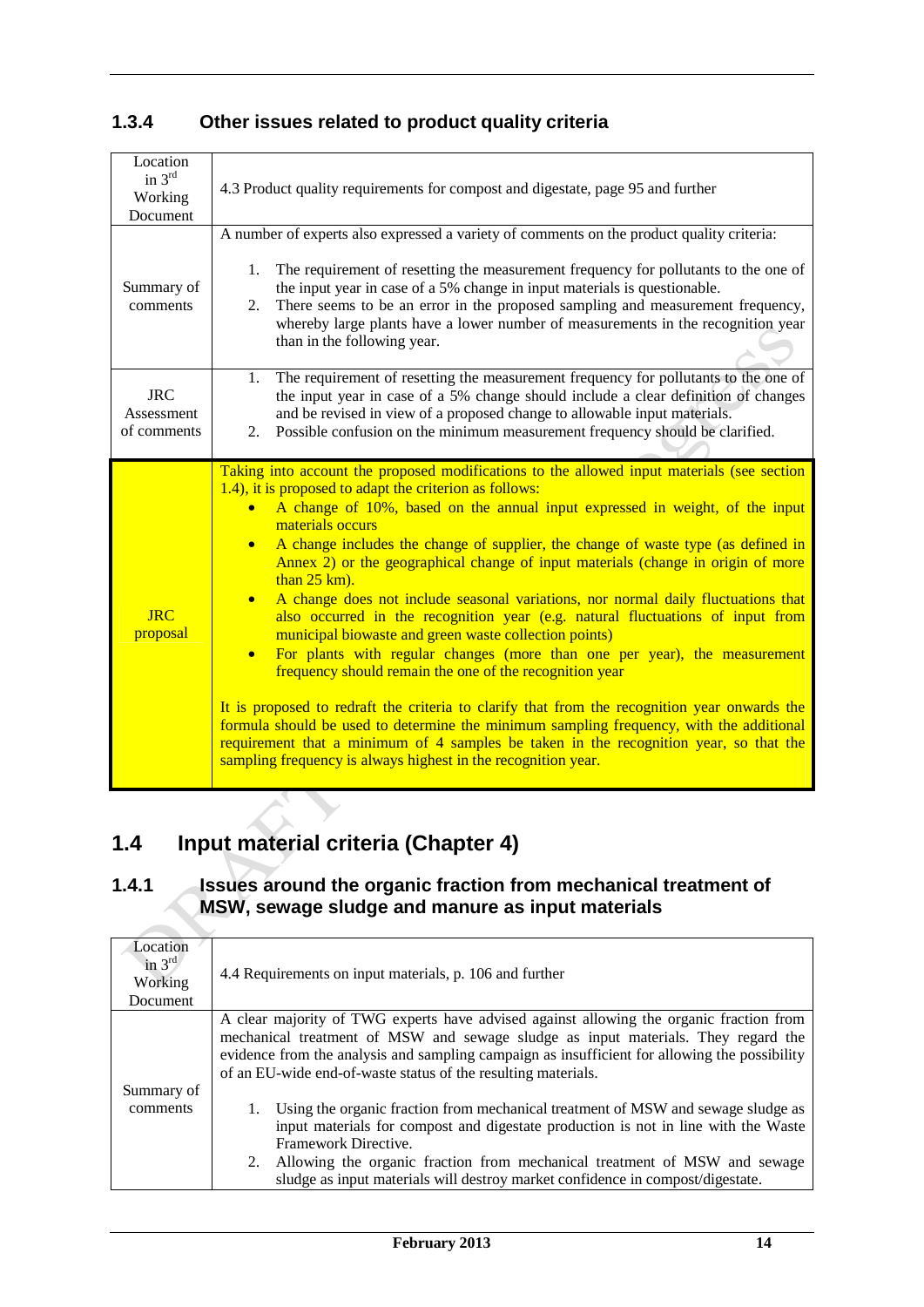| Location<br>in $3rd$<br>Working<br>Document | 4.3 Product quality requirements for compost and digestate, page 95 and further                                                                                                                                                                                                                                                                                                                                                                                                                                                                                                                                                                                                                                                                                                                                                                                                                                                                                                                                                                                                                                                                                                                                                   |
|---------------------------------------------|-----------------------------------------------------------------------------------------------------------------------------------------------------------------------------------------------------------------------------------------------------------------------------------------------------------------------------------------------------------------------------------------------------------------------------------------------------------------------------------------------------------------------------------------------------------------------------------------------------------------------------------------------------------------------------------------------------------------------------------------------------------------------------------------------------------------------------------------------------------------------------------------------------------------------------------------------------------------------------------------------------------------------------------------------------------------------------------------------------------------------------------------------------------------------------------------------------------------------------------|
| Summary of<br>comments                      | A number of experts also expressed a variety of comments on the product quality criteria:<br>The requirement of resetting the measurement frequency for pollutants to the one of<br>1.<br>the input year in case of a 5% change in input materials is questionable.<br>There seems to be an error in the proposed sampling and measurement frequency,<br>2.<br>whereby large plants have a lower number of measurements in the recognition year<br>than in the following year.                                                                                                                                                                                                                                                                                                                                                                                                                                                                                                                                                                                                                                                                                                                                                    |
| <b>JRC</b><br>Assessment<br>of comments     | The requirement of resetting the measurement frequency for pollutants to the one of<br>1.<br>the input year in case of a 5% change should include a clear definition of changes<br>and be revised in view of a proposed change to allowable input materials.<br>2. Possible confusion on the minimum measurement frequency should be clarified.                                                                                                                                                                                                                                                                                                                                                                                                                                                                                                                                                                                                                                                                                                                                                                                                                                                                                   |
| <b>JRC</b><br>proposal                      | Taking into account the proposed modifications to the allowed input materials (see section<br>1.4), it is proposed to adapt the criterion as follows:<br>A change of 10%, based on the annual input expressed in weight, of the input<br>$\bullet$<br>materials occurs<br>A change includes the change of supplier, the change of waste type (as defined in<br>$\bullet$<br>Annex 2) or the geographical change of input materials (change in origin of more<br>than $25 \text{ km}$ ).<br>A change does not include seasonal variations, nor normal daily fluctuations that<br>$\bullet$<br>also occurred in the recognition year (e.g. natural fluctuations of input from<br>municipal biowaste and green waste collection points)<br>For plants with regular changes (more than one per year), the measurement<br>frequency should remain the one of the recognition year<br>It is proposed to redraft the criteria to clarify that from the recognition year onwards the<br>formula should be used to determine the minimum sampling frequency, with the additional<br>requirement that a minimum of 4 samples be taken in the recognition year, so that the<br>sampling frequency is always highest in the recognition year. |

# **1.3.4 Other issues related to product quality criteria**

# **1.4 Input material criteria (Chapter 4)**

### **1.4.1 Issues around the organic fraction from mechanical treatment of MSW, sewage sludge and manure as input materials**

| Location<br>in $3rd$<br>Working<br><b>Document</b> | 4.4 Requirements on input materials, p. 106 and further                                                                                                                                                                                             |
|----------------------------------------------------|-----------------------------------------------------------------------------------------------------------------------------------------------------------------------------------------------------------------------------------------------------|
|                                                    | A clear majority of TWG experts have advised against allowing the organic fraction from                                                                                                                                                             |
|                                                    | mechanical treatment of MSW and sewage sludge as input materials. They regard the<br>evidence from the analysis and sampling campaign as insufficient for allowing the possibility<br>of an EU-wide end-of-waste status of the resulting materials. |
| Summary of<br>comments                             | 1. Using the organic fraction from mechanical treatment of MSW and sewage sludge as                                                                                                                                                                 |
|                                                    | input materials for compost and digestate production is not in line with the Waste<br>Framework Directive.                                                                                                                                          |
|                                                    | 2. Allowing the organic fraction from mechanical treatment of MSW and sewage<br>sludge as input materials will destroy market confidence in compost/digestate.                                                                                      |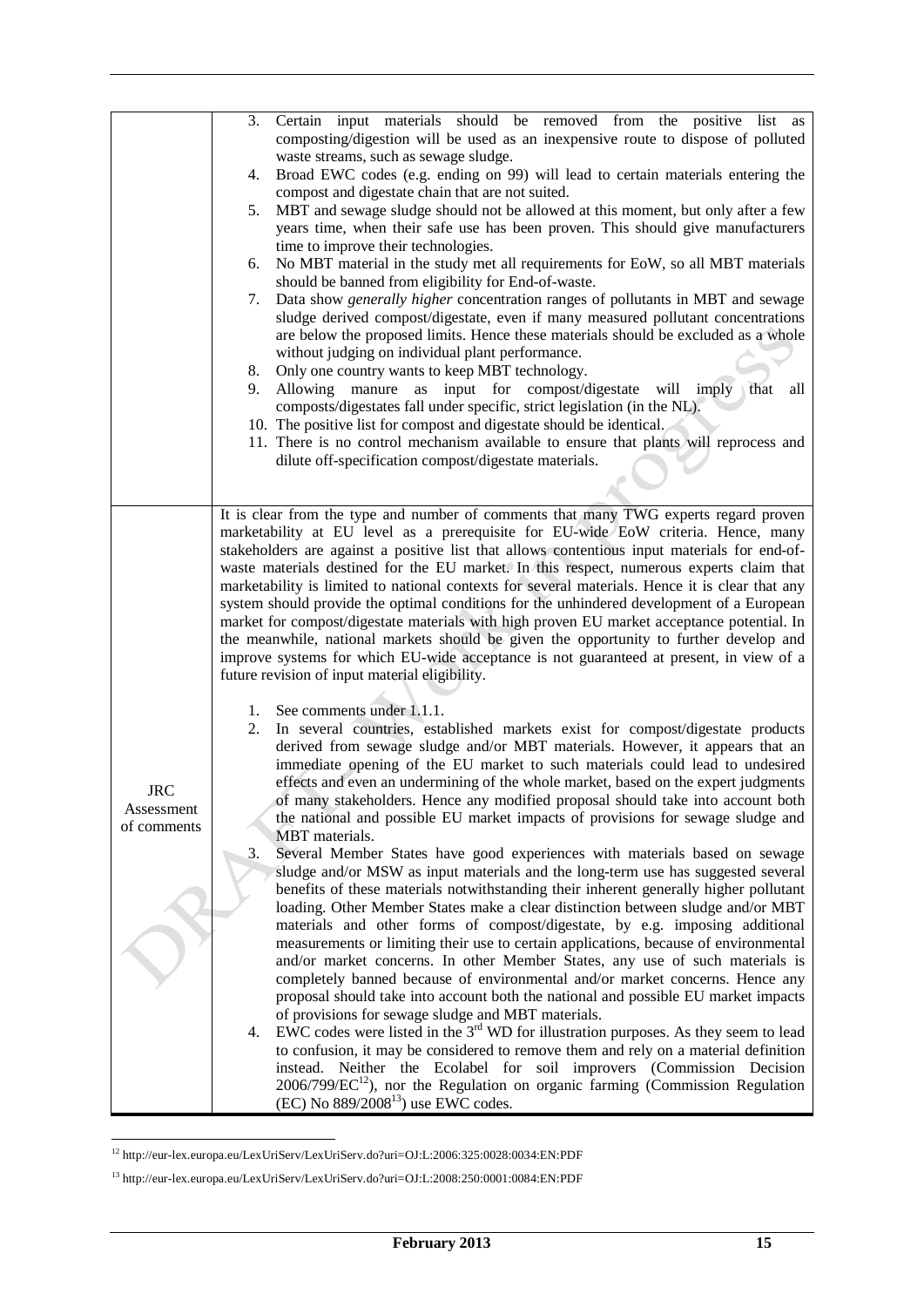|             | Certain input materials should be removed from the positive list as<br>3.                                                                                                         |
|-------------|-----------------------------------------------------------------------------------------------------------------------------------------------------------------------------------|
|             | composting/digestion will be used as an inexpensive route to dispose of polluted                                                                                                  |
|             | waste streams, such as sewage sludge.                                                                                                                                             |
|             | Broad EWC codes (e.g. ending on 99) will lead to certain materials entering the<br>4.                                                                                             |
|             | compost and digestate chain that are not suited.                                                                                                                                  |
|             | MBT and sewage sludge should not be allowed at this moment, but only after a few<br>5.                                                                                            |
|             | years time, when their safe use has been proven. This should give manufacturers                                                                                                   |
|             | time to improve their technologies.                                                                                                                                               |
|             | No MBT material in the study met all requirements for EoW, so all MBT materials<br>6.                                                                                             |
|             | should be banned from eligibility for End-of-waste.<br>Data show <i>generally higher</i> concentration ranges of pollutants in MBT and sewage<br>7.                               |
|             | sludge derived compost/digestate, even if many measured pollutant concentrations                                                                                                  |
|             | are below the proposed limits. Hence these materials should be excluded as a whole                                                                                                |
|             | without judging on individual plant performance.                                                                                                                                  |
|             | Only one country wants to keep MBT technology.<br>8.                                                                                                                              |
|             | Allowing manure as input for compost/digestate will imply that<br>9.<br>all                                                                                                       |
|             | composts/digestates fall under specific, strict legislation (in the NL).                                                                                                          |
|             | 10. The positive list for compost and digestate should be identical.                                                                                                              |
|             | 11. There is no control mechanism available to ensure that plants will reprocess and                                                                                              |
|             | dilute off-specification compost/digestate materials.                                                                                                                             |
|             |                                                                                                                                                                                   |
|             |                                                                                                                                                                                   |
|             | It is clear from the type and number of comments that many TWG experts regard proven                                                                                              |
|             | marketability at EU level as a prerequisite for EU-wide EoW criteria. Hence, many<br>stakeholders are against a positive list that allows contentious input materials for end-of- |
|             | waste materials destined for the EU market. In this respect, numerous experts claim that                                                                                          |
|             | marketability is limited to national contexts for several materials. Hence it is clear that any                                                                                   |
|             | system should provide the optimal conditions for the unhindered development of a European                                                                                         |
|             | market for compost/digestate materials with high proven EU market acceptance potential. In                                                                                        |
|             | the meanwhile, national markets should be given the opportunity to further develop and                                                                                            |
|             | improve systems for which EU-wide acceptance is not guaranteed at present, in view of a                                                                                           |
|             | future revision of input material eligibility.                                                                                                                                    |
|             |                                                                                                                                                                                   |
|             | 1. See comments under 1.1.1.<br>In several countries, established markets exist for compost/digestate products<br>2.                                                              |
|             | derived from sewage sludge and/or MBT materials. However, it appears that an                                                                                                      |
|             | immediate opening of the EU market to such materials could lead to undesired                                                                                                      |
|             | effects and even an undermining of the whole market, based on the expert judgments                                                                                                |
| <b>JRC</b>  | of many stakeholders. Hence any modified proposal should take into account both                                                                                                   |
| Assessment  | the national and possible EU market impacts of provisions for sewage sludge and                                                                                                   |
| of comments | MBT materials.                                                                                                                                                                    |
|             | 3.<br>Several Member States have good experiences with materials based on sewage                                                                                                  |
|             | sludge and/or MSW as input materials and the long-term use has suggested several                                                                                                  |
|             | benefits of these materials notwithstanding their inherent generally higher pollutant                                                                                             |
|             | loading. Other Member States make a clear distinction between sludge and/or MBT                                                                                                   |
|             | materials and other forms of compost/digestate, by e.g. imposing additional                                                                                                       |
|             | measurements or limiting their use to certain applications, because of environmental<br>and/or market concerns. In other Member States, any use of such materials is              |
|             | completely banned because of environmental and/or market concerns. Hence any                                                                                                      |
|             | proposal should take into account both the national and possible EU market impacts                                                                                                |
|             | of provisions for sewage sludge and MBT materials.                                                                                                                                |
|             | EWC codes were listed in the $3rd$ WD for illustration purposes. As they seem to lead<br>4.                                                                                       |
|             | to confusion, it may be considered to remove them and rely on a material definition                                                                                               |
|             | instead. Neither the Ecolabel for soil improvers (Commission Decision                                                                                                             |
|             | $2006/799/EC^{12}$ ), nor the Regulation on organic farming (Commission Regulation                                                                                                |
|             | (EC) No $889/2008^{13}$ ) use EWC codes.                                                                                                                                          |
|             |                                                                                                                                                                                   |

<sup>-</sup>12 http://eur-lex.europa.eu/LexUriServ/LexUriServ.do?uri=OJ:L:2006:325:0028:0034:EN:PDF

<sup>13</sup> http://eur-lex.europa.eu/LexUriServ/LexUriServ.do?uri=OJ:L:2008:250:0001:0084:EN:PDF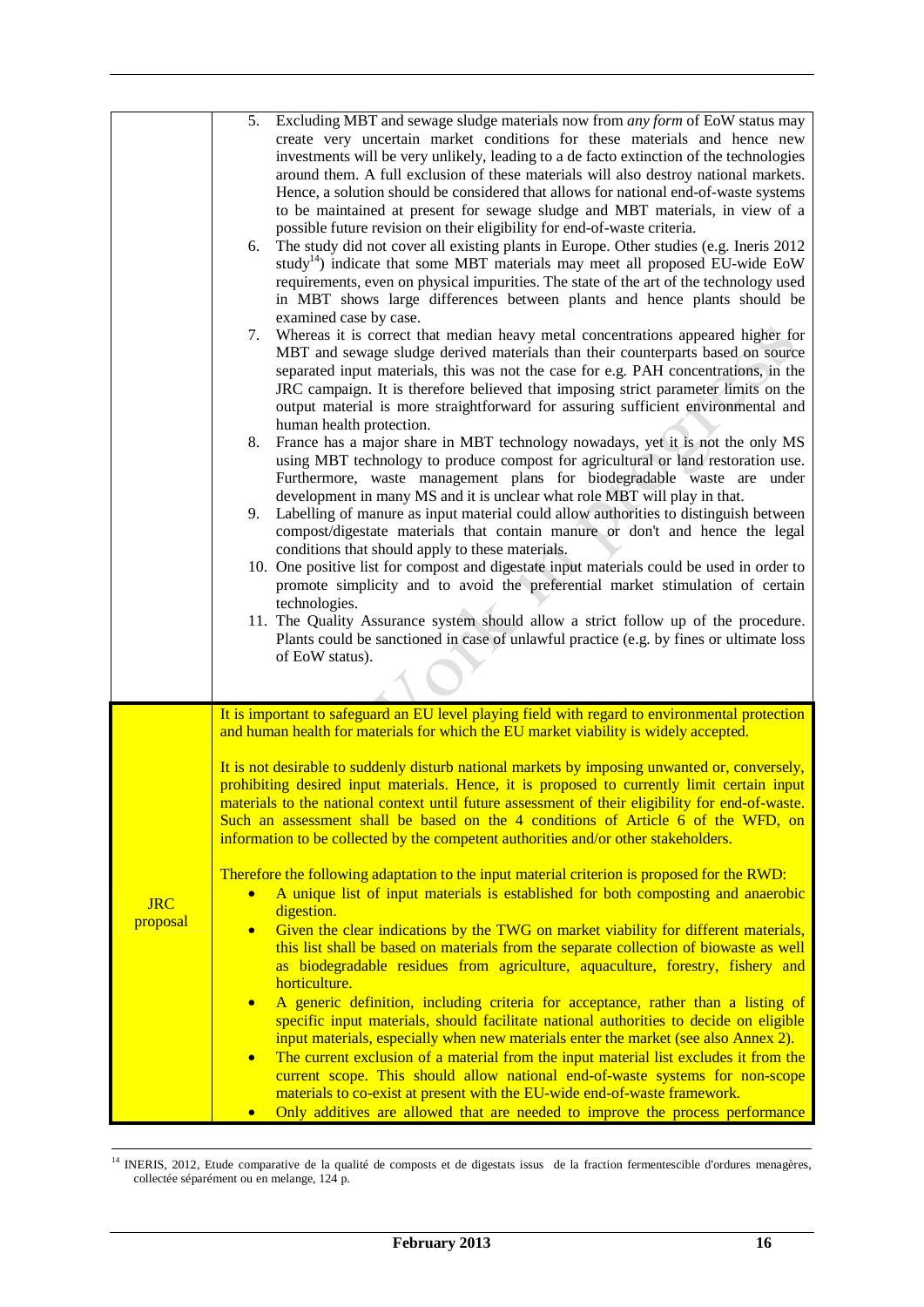|                        | 5.<br>Excluding MBT and sewage sludge materials now from <i>any form</i> of EoW status may<br>create very uncertain market conditions for these materials and hence new<br>investments will be very unlikely, leading to a de facto extinction of the technologies<br>around them. A full exclusion of these materials will also destroy national markets.<br>Hence, a solution should be considered that allows for national end-of-waste systems<br>to be maintained at present for sewage sludge and MBT materials, in view of a<br>possible future revision on their eligibility for end-of-waste criteria.<br>The study did not cover all existing plants in Europe. Other studies (e.g. Ineris 2012)<br>6.<br>study <sup>14</sup> ) indicate that some MBT materials may meet all proposed EU-wide EoW<br>requirements, even on physical impurities. The state of the art of the technology used<br>in MBT shows large differences between plants and hence plants should be<br>examined case by case.<br>Whereas it is correct that median heavy metal concentrations appeared higher for<br>7.<br>MBT and sewage sludge derived materials than their counterparts based on source<br>separated input materials, this was not the case for e.g. PAH concentrations, in the<br>JRC campaign. It is therefore believed that imposing strict parameter limits on the<br>output material is more straightforward for assuring sufficient environmental and<br>human health protection.<br>8.<br>France has a major share in MBT technology nowadays, yet it is not the only MS<br>using MBT technology to produce compost for agricultural or land restoration use.<br>Furthermore, waste management plans for biodegradable waste are under<br>development in many MS and it is unclear what role MBT will play in that.<br>Labelling of manure as input material could allow authorities to distinguish between<br>9.<br>compost/digestate materials that contain manure or don't and hence the legal<br>conditions that should apply to these materials.<br>10. One positive list for compost and digestate input materials could be used in order to<br>promote simplicity and to avoid the preferential market stimulation of certain<br>technologies.<br>11. The Quality Assurance system should allow a strict follow up of the procedure.<br>Plants could be sanctioned in case of unlawful practice (e.g. by fines or ultimate loss<br>of EoW status). |
|------------------------|--------------------------------------------------------------------------------------------------------------------------------------------------------------------------------------------------------------------------------------------------------------------------------------------------------------------------------------------------------------------------------------------------------------------------------------------------------------------------------------------------------------------------------------------------------------------------------------------------------------------------------------------------------------------------------------------------------------------------------------------------------------------------------------------------------------------------------------------------------------------------------------------------------------------------------------------------------------------------------------------------------------------------------------------------------------------------------------------------------------------------------------------------------------------------------------------------------------------------------------------------------------------------------------------------------------------------------------------------------------------------------------------------------------------------------------------------------------------------------------------------------------------------------------------------------------------------------------------------------------------------------------------------------------------------------------------------------------------------------------------------------------------------------------------------------------------------------------------------------------------------------------------------------------------------------------------------------------------------------------------------------------------------------------------------------------------------------------------------------------------------------------------------------------------------------------------------------------------------------------------------------------------------------------------------------------------------------------------------------------------------------------------------------------------------------------------------------------------|
| <b>JRC</b><br>proposal | It is important to safeguard an EU level playing field with regard to environmental protection<br>and human health for materials for which the EU market viability is widely accepted.<br>It is not desirable to suddenly disturb national markets by imposing unwanted or, conversely,<br>prohibiting desired input materials. Hence, it is proposed to currently limit certain input<br>materials to the national context until future assessment of their eligibility for end-of-waste.<br>Such an assessment shall be based on the 4 conditions of Article 6 of the WFD, on<br>information to be collected by the competent authorities and/or other stakeholders.<br>Therefore the following adaptation to the input material criterion is proposed for the RWD:<br>A unique list of input materials is established for both composting and anaerobic<br>$\bullet$<br>digestion.<br>Given the clear indications by the TWG on market viability for different materials,<br>$\bullet$<br>this list shall be based on materials from the separate collection of biowaste as well<br>as biodegradable residues from agriculture, aquaculture, forestry, fishery and<br>horticulture.<br>A generic definition, including criteria for acceptance, rather than a listing of<br>$\bullet$<br>specific input materials, should facilitate national authorities to decide on eligible<br>input materials, especially when new materials enter the market (see also Annex 2).<br>The current exclusion of a material from the input material list excludes it from the<br>$\bullet$<br>current scope. This should allow national end-of-waste systems for non-scope<br>materials to co-exist at present with the EU-wide end-of-waste framework.<br>Only additives are allowed that are needed to improve the process performance<br>$\bullet$                                                                                                                                                                                                                                                                                                                                                                                                                                                                                                                                                                                                                         |

 14 INERIS, 2012, Etude comparative de la qualité de composts et de digestats issus de la fraction fermentescible d'ordures menagères, collectée séparément ou en melange, 124 p.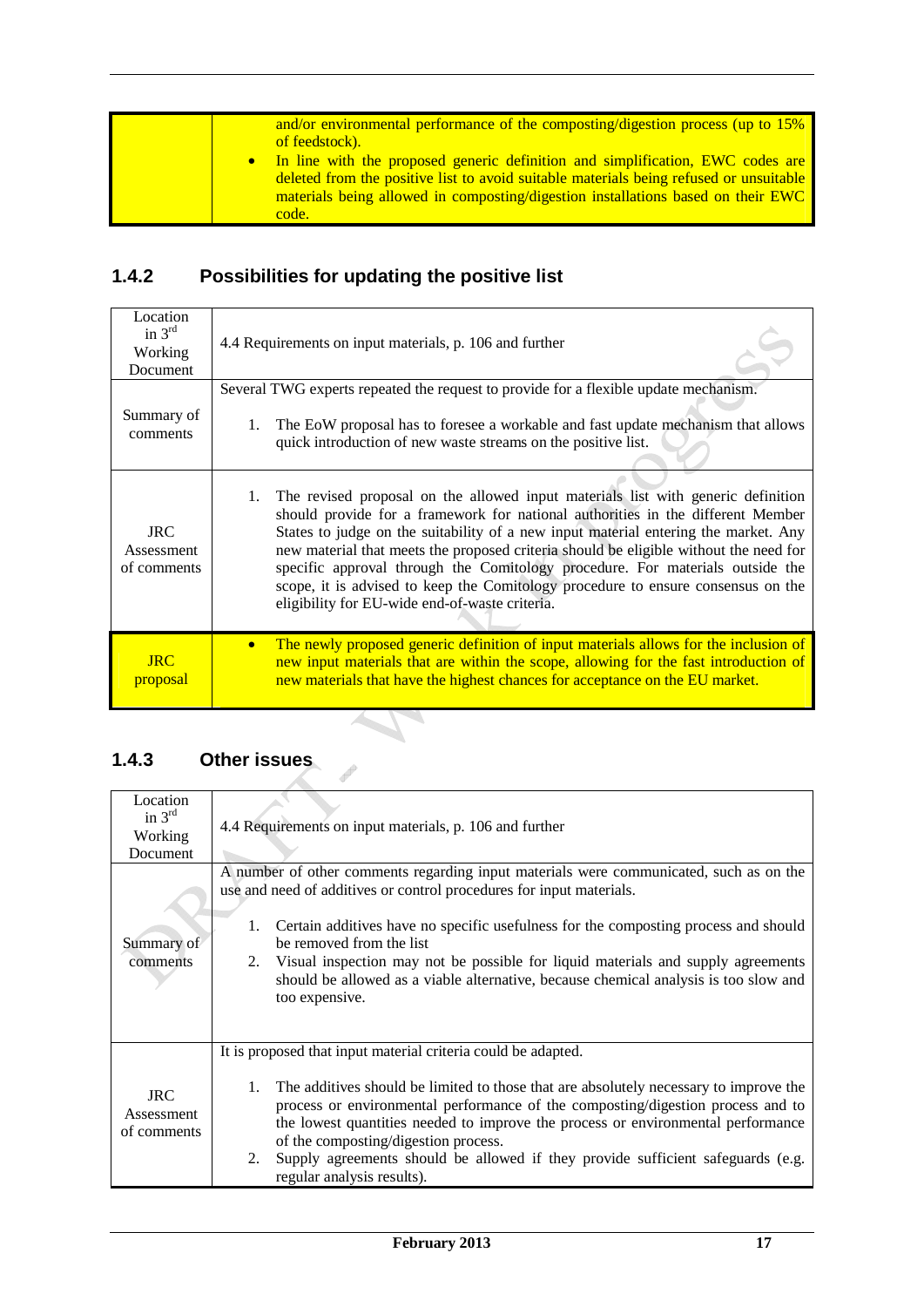| and/or environmental performance of the composting/digestion process (up to 15%)<br>of feedstock).<br>In line with the proposed generic definition and simplification, EWC codes are<br>deleted from the positive list to avoid suitable materials being refused or unsuitable<br>materials being allowed in composting/digestion installations based on their EWC<br>code. |
|-----------------------------------------------------------------------------------------------------------------------------------------------------------------------------------------------------------------------------------------------------------------------------------------------------------------------------------------------------------------------------|
|-----------------------------------------------------------------------------------------------------------------------------------------------------------------------------------------------------------------------------------------------------------------------------------------------------------------------------------------------------------------------------|

# **1.4.2 Possibilities for updating the positive list**

| Location<br>in $3^{rd}$<br>Working<br>Document | 4.4 Requirements on input materials, p. 106 and further                                                                                                                                                                                                                                                                                                                                                                                                                                                                                                                                    |
|------------------------------------------------|--------------------------------------------------------------------------------------------------------------------------------------------------------------------------------------------------------------------------------------------------------------------------------------------------------------------------------------------------------------------------------------------------------------------------------------------------------------------------------------------------------------------------------------------------------------------------------------------|
| Summary of<br>comments                         | Several TWG experts repeated the request to provide for a flexible update mechanism.<br>The EoW proposal has to foresee a workable and fast update mechanism that allows<br>1.<br>quick introduction of new waste streams on the positive list.                                                                                                                                                                                                                                                                                                                                            |
| <b>JRC</b><br>Assessment<br>of comments        | The revised proposal on the allowed input materials list with generic definition<br>$1_{\cdots}$<br>should provide for a framework for national authorities in the different Member<br>States to judge on the suitability of a new input material entering the market. Any<br>new material that meets the proposed criteria should be eligible without the need for<br>specific approval through the Comitology procedure. For materials outside the<br>scope, it is advised to keep the Comitology procedure to ensure consensus on the<br>eligibility for EU-wide end-of-waste criteria. |
| $_{\rm IRC}$<br>proposal                       | The newly proposed generic definition of input materials allows for the inclusion of<br>new input materials that are within the scope, allowing for the fast introduction of<br>new materials that have the highest chances for acceptance on the EU market.                                                                                                                                                                                                                                                                                                                               |

#### **1.4.3 Other issues**  <u>the contract of the contract of the contract of the contract of the contract of the contract of the contract of the contract of the contract of the contract of the contract of the contract of the contract of the contract </u>

| Location                                |                                                                                                                                                                                                                                                                                                            |
|-----------------------------------------|------------------------------------------------------------------------------------------------------------------------------------------------------------------------------------------------------------------------------------------------------------------------------------------------------------|
| in $3rd$                                | 4.4 Requirements on input materials, p. 106 and further                                                                                                                                                                                                                                                    |
| Working                                 |                                                                                                                                                                                                                                                                                                            |
| Document                                |                                                                                                                                                                                                                                                                                                            |
|                                         | A number of other comments regarding input materials were communicated, such as on the<br>use and need of additives or control procedures for input materials.                                                                                                                                             |
| Summary of                              | Certain additives have no specific usefulness for the composting process and should<br>1.<br>be removed from the list                                                                                                                                                                                      |
| comments                                | 2. Visual inspection may not be possible for liquid materials and supply agreements<br>should be allowed as a viable alternative, because chemical analysis is too slow and<br>too expensive.                                                                                                              |
|                                         | It is proposed that input material criteria could be adapted.                                                                                                                                                                                                                                              |
| <b>JRC</b><br>Assessment<br>of comments | The additives should be limited to those that are absolutely necessary to improve the<br>1.<br>process or environmental performance of the composting/digestion process and to<br>the lowest quantities needed to improve the process or environmental performance<br>of the composting/digestion process. |
|                                         | Supply agreements should be allowed if they provide sufficient safeguards (e.g.<br>2.<br>regular analysis results).                                                                                                                                                                                        |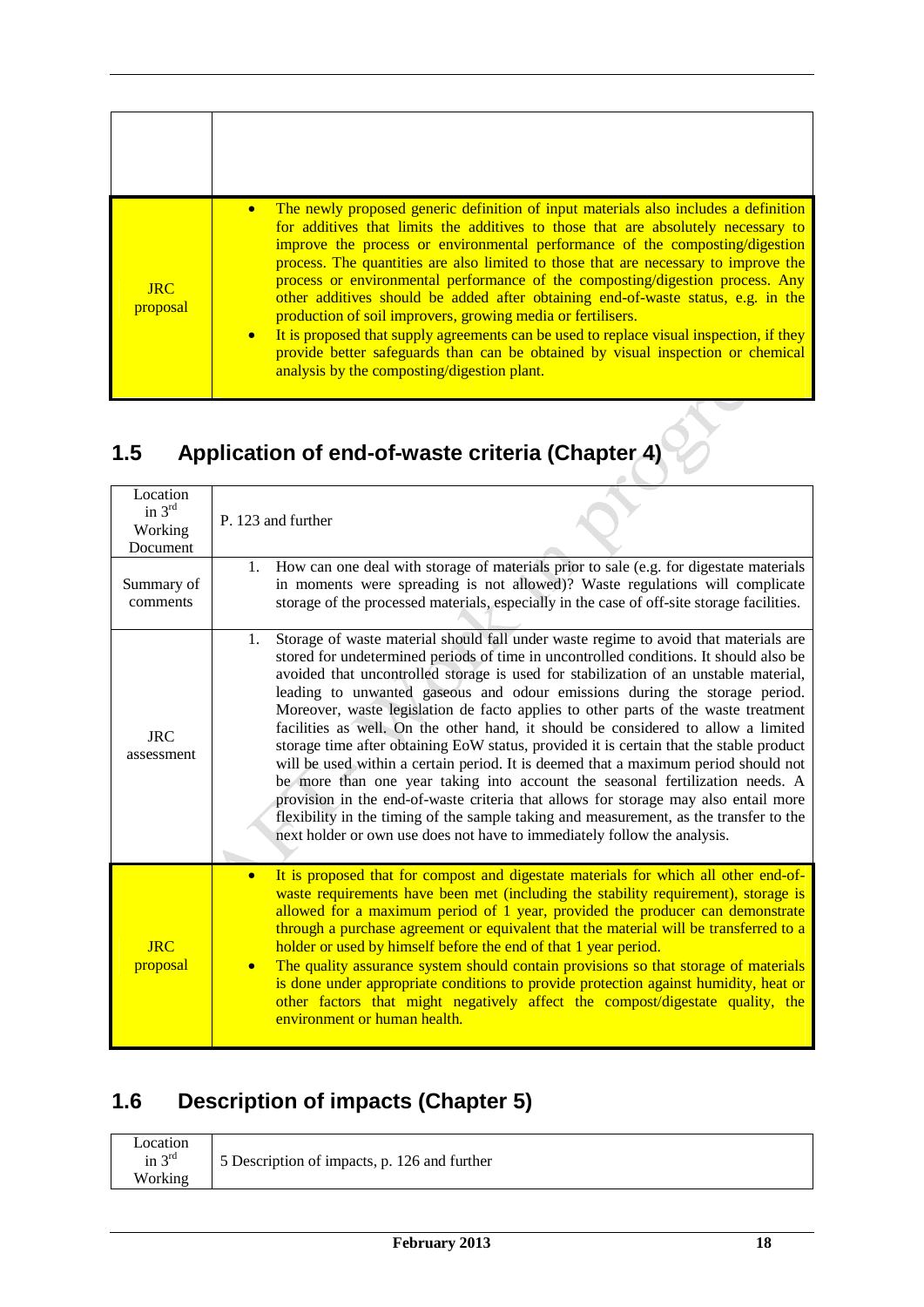| The newly proposed generic definition of input materials also includes a definition<br>for additives that limits the additives to those that are absolutely necessary to<br>improve the process or environmental performance of the composting/digestion<br>process. The quantities are also limited to those that are necessary to improve the<br>process or environmental performance of the composting/digestion process. Any<br><b>JRC</b><br>other additives should be added after obtaining end-of-waste status, e.g. in the<br>proposal<br>production of soil improvers, growing media or fertilisers.<br>It is proposed that supply agreements can be used to replace visual inspection, if they<br>$\bullet$<br>provide better safeguards than can be obtained by visual inspection or chemical<br>analysis by the composting/digestion plant. |  |
|---------------------------------------------------------------------------------------------------------------------------------------------------------------------------------------------------------------------------------------------------------------------------------------------------------------------------------------------------------------------------------------------------------------------------------------------------------------------------------------------------------------------------------------------------------------------------------------------------------------------------------------------------------------------------------------------------------------------------------------------------------------------------------------------------------------------------------------------------------|--|
|                                                                                                                                                                                                                                                                                                                                                                                                                                                                                                                                                                                                                                                                                                                                                                                                                                                         |  |

# **1.5 Application of end-of-waste criteria (Chapter 4)**

| Location<br>in $3rd$<br>Working<br>Document | P. 123 and further                                                                                                                                                                                                                                                                                                                                                                                                                                                                                                                                                                                                                                                                                                                                                                                                                                                                                                                                                                                                                                                   |
|---------------------------------------------|----------------------------------------------------------------------------------------------------------------------------------------------------------------------------------------------------------------------------------------------------------------------------------------------------------------------------------------------------------------------------------------------------------------------------------------------------------------------------------------------------------------------------------------------------------------------------------------------------------------------------------------------------------------------------------------------------------------------------------------------------------------------------------------------------------------------------------------------------------------------------------------------------------------------------------------------------------------------------------------------------------------------------------------------------------------------|
| Summary of<br>comments                      | How can one deal with storage of materials prior to sale (e.g. for digestate materials<br>1.<br>in moments were spreading is not allowed)? Waste regulations will complicate<br>storage of the processed materials, especially in the case of off-site storage facilities.                                                                                                                                                                                                                                                                                                                                                                                                                                                                                                                                                                                                                                                                                                                                                                                           |
| <b>JRC</b><br>assessment                    | Storage of waste material should fall under waste regime to avoid that materials are<br>1.<br>stored for undetermined periods of time in uncontrolled conditions. It should also be<br>avoided that uncontrolled storage is used for stabilization of an unstable material,<br>leading to unwanted gaseous and odour emissions during the storage period.<br>Moreover, waste legislation de facto applies to other parts of the waste treatment<br>facilities as well. On the other hand, it should be considered to allow a limited<br>storage time after obtaining EoW status, provided it is certain that the stable product<br>will be used within a certain period. It is deemed that a maximum period should not<br>be more than one year taking into account the seasonal fertilization needs. A<br>provision in the end-of-waste criteria that allows for storage may also entail more<br>flexibility in the timing of the sample taking and measurement, as the transfer to the<br>next holder or own use does not have to immediately follow the analysis. |
| <b>JRC</b><br>proposal                      | It is proposed that for compost and digestate materials for which all other end-of-<br>$\bullet$<br>waste requirements have been met (including the stability requirement), storage is<br>allowed for a maximum period of 1 year, provided the producer can demonstrate<br>through a purchase agreement or equivalent that the material will be transferred to a<br>holder or used by himself before the end of that 1 year period.<br>The quality assurance system should contain provisions so that storage of materials<br>is done under appropriate conditions to provide protection against humidity, heat or<br>other factors that might negatively affect the compost/digestate quality, the<br>environment or human health.                                                                                                                                                                                                                                                                                                                                  |

# **1.6 Description of impacts (Chapter 5)**

| Location |                                              |
|----------|----------------------------------------------|
| in $3rd$ | 5 Description of impacts, p. 126 and further |
| Working  |                                              |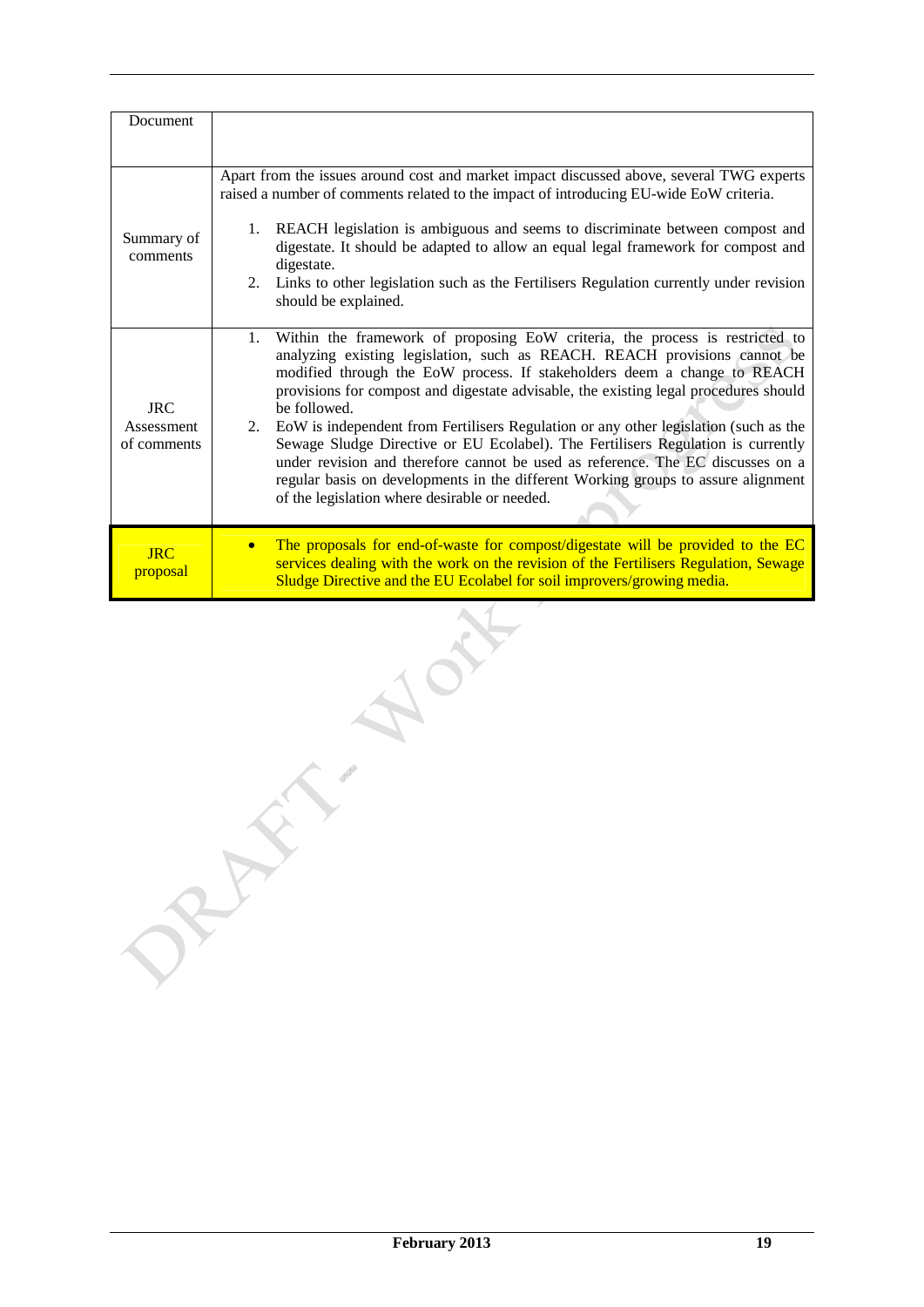| Document                                |                                                                                                                                                                                                                                                                                                                                                                                                                                                                                                                                                                                                                                                                                                                                                          |
|-----------------------------------------|----------------------------------------------------------------------------------------------------------------------------------------------------------------------------------------------------------------------------------------------------------------------------------------------------------------------------------------------------------------------------------------------------------------------------------------------------------------------------------------------------------------------------------------------------------------------------------------------------------------------------------------------------------------------------------------------------------------------------------------------------------|
| Summary of<br>comments                  | Apart from the issues around cost and market impact discussed above, several TWG experts<br>raised a number of comments related to the impact of introducing EU-wide EoW criteria.<br>1. REACH legislation is ambiguous and seems to discriminate between compost and<br>digestate. It should be adapted to allow an equal legal framework for compost and<br>digestate.<br>2. Links to other legislation such as the Fertilisers Regulation currently under revision<br>should be explained.                                                                                                                                                                                                                                                            |
| <b>JRC</b><br>Assessment<br>of comments | 1. Within the framework of proposing EoW criteria, the process is restricted to<br>analyzing existing legislation, such as REACH. REACH provisions cannot be<br>modified through the EoW process. If stakeholders deem a change to REACH<br>provisions for compost and digestate advisable, the existing legal procedures should<br>be followed.<br>2. EoW is independent from Fertilisers Regulation or any other legislation (such as the<br>Sewage Sludge Directive or EU Ecolabel). The Fertilisers Regulation is currently<br>under revision and therefore cannot be used as reference. The EC discusses on a<br>regular basis on developments in the different Working groups to assure alignment<br>of the legislation where desirable or needed. |
| <b>JRC</b><br>proposal                  | The proposals for end-of-waste for compost/digestate will be provided to the EC<br>$\bullet$<br>services dealing with the work on the revision of the Fertilisers Regulation, Sewage<br>Sludge Directive and the EU Ecolabel for soil improvers/growing media.                                                                                                                                                                                                                                                                                                                                                                                                                                                                                           |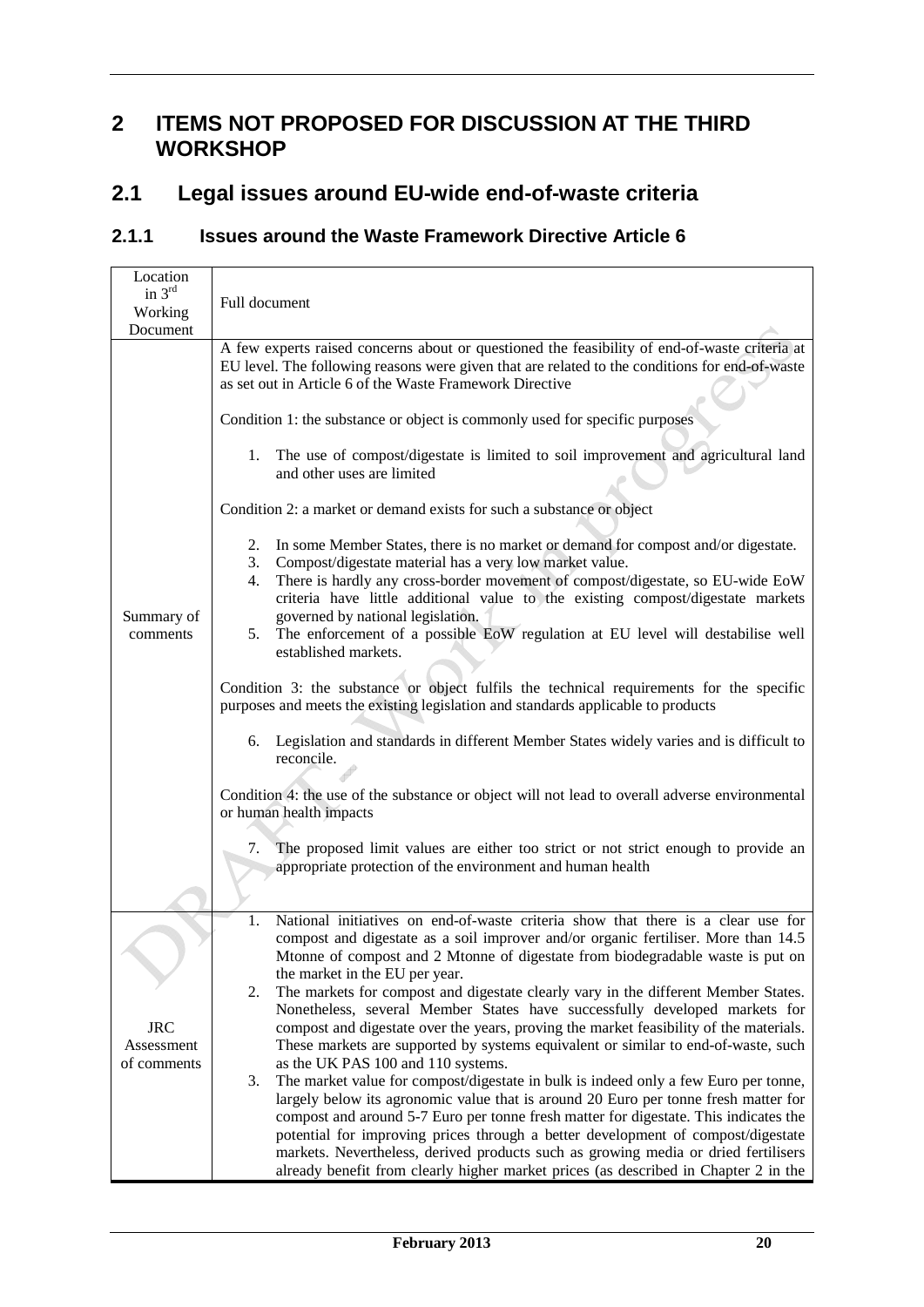## **2 ITEMS NOT PROPOSED FOR DISCUSSION AT THE THIRD WORKSHOP**

## **2.1 Legal issues around EU-wide end-of-waste criteria**

# **2.1.1 Issues around the Waste Framework Directive Article 6**

| Location<br>in $3rd$<br>Working<br>Document | Full document                                                                                                                                                                                                                                                                                                                                                                                                                                                                                                                                                                                                                                                                                                                                                                                                                                                                                                                                                                                                                                                                                                                                                                                                                                                                                                                                                                                                                                                                                                                                                                                                           |
|---------------------------------------------|-------------------------------------------------------------------------------------------------------------------------------------------------------------------------------------------------------------------------------------------------------------------------------------------------------------------------------------------------------------------------------------------------------------------------------------------------------------------------------------------------------------------------------------------------------------------------------------------------------------------------------------------------------------------------------------------------------------------------------------------------------------------------------------------------------------------------------------------------------------------------------------------------------------------------------------------------------------------------------------------------------------------------------------------------------------------------------------------------------------------------------------------------------------------------------------------------------------------------------------------------------------------------------------------------------------------------------------------------------------------------------------------------------------------------------------------------------------------------------------------------------------------------------------------------------------------------------------------------------------------------|
| Summary of<br>comments                      | A few experts raised concerns about or questioned the feasibility of end-of-waste criteria at<br>EU level. The following reasons were given that are related to the conditions for end-of-waste<br>as set out in Article 6 of the Waste Framework Directive<br>Condition 1: the substance or object is commonly used for specific purposes<br>1. The use of compost/digestate is limited to soil improvement and agricultural land<br>and other uses are limited<br>Condition 2: a market or demand exists for such a substance or object<br>In some Member States, there is no market or demand for compost and/or digestate.<br>2.<br>Compost/digestate material has a very low market value.<br>3.<br>There is hardly any cross-border movement of compost/digestate, so EU-wide EoW<br>4.<br>criteria have little additional value to the existing compost/digestate markets<br>governed by national legislation.<br>5. The enforcement of a possible EoW regulation at EU level will destabilise well<br>established markets.<br>Condition 3: the substance or object fulfils the technical requirements for the specific<br>purposes and meets the existing legislation and standards applicable to products<br>Legislation and standards in different Member States widely varies and is difficult to<br>6.<br>reconcile.<br>Condition 4: the use of the substance or object will not lead to overall adverse environmental<br>or human health impacts<br>The proposed limit values are either too strict or not strict enough to provide an<br>7.<br>appropriate protection of the environment and human health |
|                                             | National initiatives on end-of-waste criteria show that there is a clear use for<br>1.<br>compost and digestate as a soil improver and/or organic fertiliser. More than 14.5<br>Mtonne of compost and 2 Mtonne of digestate from biodegradable waste is put on<br>the market in the EU per year.<br>The markets for compost and digestate clearly vary in the different Member States.<br>2.                                                                                                                                                                                                                                                                                                                                                                                                                                                                                                                                                                                                                                                                                                                                                                                                                                                                                                                                                                                                                                                                                                                                                                                                                            |
| <b>JRC</b><br>Assessment<br>of comments     | Nonetheless, several Member States have successfully developed markets for<br>compost and digestate over the years, proving the market feasibility of the materials.<br>These markets are supported by systems equivalent or similar to end-of-waste, such<br>as the UK PAS 100 and 110 systems.                                                                                                                                                                                                                                                                                                                                                                                                                                                                                                                                                                                                                                                                                                                                                                                                                                                                                                                                                                                                                                                                                                                                                                                                                                                                                                                        |
|                                             | The market value for compost/digestate in bulk is indeed only a few Euro per tonne,<br>3.<br>largely below its agronomic value that is around 20 Euro per tonne fresh matter for<br>compost and around 5-7 Euro per tonne fresh matter for digestate. This indicates the<br>potential for improving prices through a better development of compost/digestate<br>markets. Nevertheless, derived products such as growing media or dried fertilisers<br>already benefit from clearly higher market prices (as described in Chapter 2 in the                                                                                                                                                                                                                                                                                                                                                                                                                                                                                                                                                                                                                                                                                                                                                                                                                                                                                                                                                                                                                                                                               |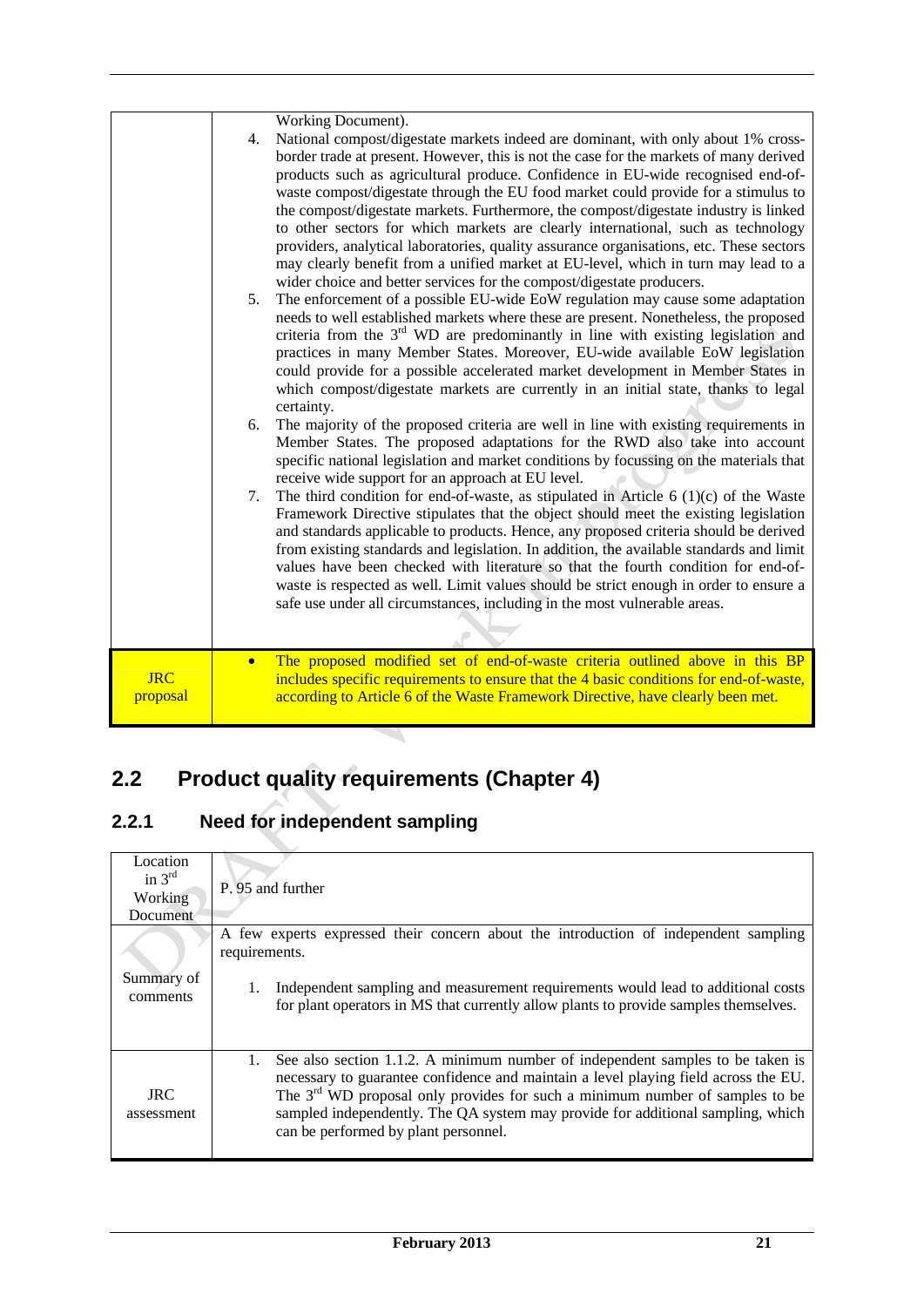|                        | Working Document).<br>National compost/digestate markets indeed are dominant, with only about 1% cross-<br>4.<br>border trade at present. However, this is not the case for the markets of many derived<br>products such as agricultural produce. Confidence in EU-wide recognised end-of-<br>waste compost/digestate through the EU food market could provide for a stimulus to<br>the compost/digestate markets. Furthermore, the compost/digestate industry is linked<br>to other sectors for which markets are clearly international, such as technology<br>providers, analytical laboratories, quality assurance organisations, etc. These sectors<br>may clearly benefit from a unified market at EU-level, which in turn may lead to a<br>wider choice and better services for the compost/digestate producers.<br>The enforcement of a possible EU-wide EoW regulation may cause some adaptation<br>5.<br>needs to well established markets where these are present. Nonetheless, the proposed<br>criteria from the $3rd$ WD are predominantly in line with existing legislation and<br>practices in many Member States. Moreover, EU-wide available EoW legislation<br>could provide for a possible accelerated market development in Member States in<br>which compost/digestate markets are currently in an initial state, thanks to legal<br>certainty.<br>The majority of the proposed criteria are well in line with existing requirements in<br>6.<br>Member States. The proposed adaptations for the RWD also take into account<br>specific national legislation and market conditions by focussing on the materials that<br>receive wide support for an approach at EU level.<br>The third condition for end-of-waste, as stipulated in Article $6(1)(c)$ of the Waste<br>7.<br>Framework Directive stipulates that the object should meet the existing legislation<br>and standards applicable to products. Hence, any proposed criteria should be derived<br>from existing standards and legislation. In addition, the available standards and limit<br>values have been checked with literature so that the fourth condition for end-of-<br>waste is respected as well. Limit values should be strict enough in order to ensure a<br>safe use under all circumstances, including in the most vulnerable areas. |
|------------------------|------------------------------------------------------------------------------------------------------------------------------------------------------------------------------------------------------------------------------------------------------------------------------------------------------------------------------------------------------------------------------------------------------------------------------------------------------------------------------------------------------------------------------------------------------------------------------------------------------------------------------------------------------------------------------------------------------------------------------------------------------------------------------------------------------------------------------------------------------------------------------------------------------------------------------------------------------------------------------------------------------------------------------------------------------------------------------------------------------------------------------------------------------------------------------------------------------------------------------------------------------------------------------------------------------------------------------------------------------------------------------------------------------------------------------------------------------------------------------------------------------------------------------------------------------------------------------------------------------------------------------------------------------------------------------------------------------------------------------------------------------------------------------------------------------------------------------------------------------------------------------------------------------------------------------------------------------------------------------------------------------------------------------------------------------------------------------------------------------------------------------------------------------------------------------------------------------------------------------------------------------------------------------------------------------------------------------------|
|                        |                                                                                                                                                                                                                                                                                                                                                                                                                                                                                                                                                                                                                                                                                                                                                                                                                                                                                                                                                                                                                                                                                                                                                                                                                                                                                                                                                                                                                                                                                                                                                                                                                                                                                                                                                                                                                                                                                                                                                                                                                                                                                                                                                                                                                                                                                                                                    |
| <b>JRC</b><br>proposal | The proposed modified set of end-of-waste criteria outlined above in this BP<br>$\bullet$<br>includes specific requirements to ensure that the 4 basic conditions for end-of-waste,<br>according to Article 6 of the Waste Framework Directive, have clearly been met.                                                                                                                                                                                                                                                                                                                                                                                                                                                                                                                                                                                                                                                                                                                                                                                                                                                                                                                                                                                                                                                                                                                                                                                                                                                                                                                                                                                                                                                                                                                                                                                                                                                                                                                                                                                                                                                                                                                                                                                                                                                             |
|                        |                                                                                                                                                                                                                                                                                                                                                                                                                                                                                                                                                                                                                                                                                                                                                                                                                                                                                                                                                                                                                                                                                                                                                                                                                                                                                                                                                                                                                                                                                                                                                                                                                                                                                                                                                                                                                                                                                                                                                                                                                                                                                                                                                                                                                                                                                                                                    |

# **2.2 Product quality requirements (Chapter 4)**

# **2.2.1 Need for independent sampling**

| Location<br>in $3^{\text{rd}}$<br>Working<br><b>Document</b> | P. 95 and further                                                                                                                                                                                                                                                                                                                                                                        |
|--------------------------------------------------------------|------------------------------------------------------------------------------------------------------------------------------------------------------------------------------------------------------------------------------------------------------------------------------------------------------------------------------------------------------------------------------------------|
| Summary of<br>comments                                       | A few experts expressed their concern about the introduction of independent sampling<br>requirements.<br>Independent sampling and measurement requirements would lead to additional costs<br>for plant operators in MS that currently allow plants to provide samples themselves.                                                                                                        |
| <b>JRC</b><br>assessment                                     | See also section 1.1.2. A minimum number of independent samples to be taken is<br>1.<br>necessary to guarantee confidence and maintain a level playing field across the EU.<br>The $3rd$ WD proposal only provides for such a minimum number of samples to be<br>sampled independently. The QA system may provide for additional sampling, which<br>can be performed by plant personnel. |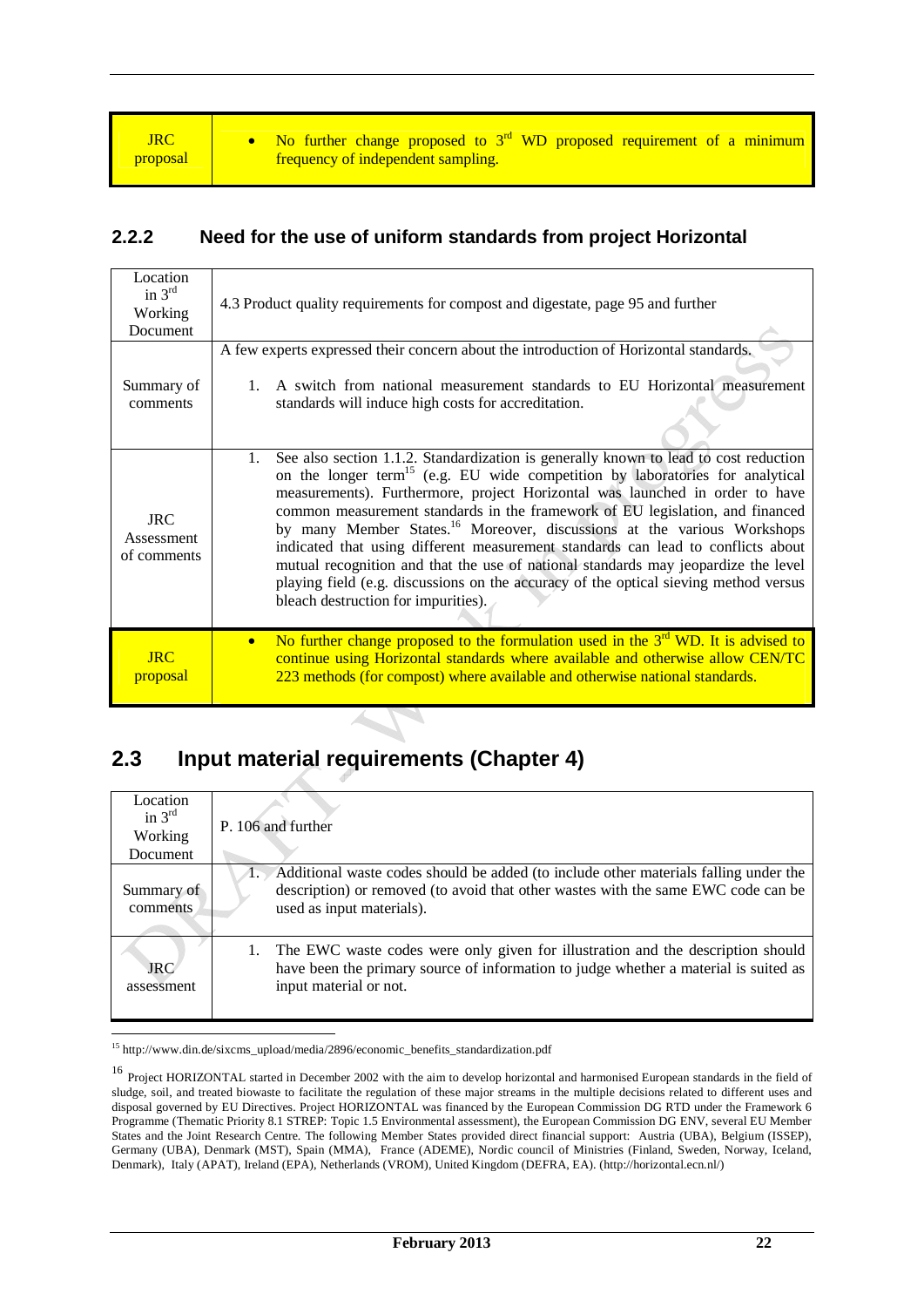• No further change proposed to  $3<sup>rd</sup>$  WD proposed requirement of a minimum frequency of independent sampling.

#### **2.2.2 Need for the use of uniform standards from project Horizontal**

| Location<br>in $3rd$<br>Working<br>Document | 4.3 Product quality requirements for compost and digestate, page 95 and further                                                                                                                                                                                                                                                                                                                                                                                                                                                                                                                                                                                                                                                                          |
|---------------------------------------------|----------------------------------------------------------------------------------------------------------------------------------------------------------------------------------------------------------------------------------------------------------------------------------------------------------------------------------------------------------------------------------------------------------------------------------------------------------------------------------------------------------------------------------------------------------------------------------------------------------------------------------------------------------------------------------------------------------------------------------------------------------|
| Summary of<br>comments                      | A few experts expressed their concern about the introduction of Horizontal standards.<br>A switch from national measurement standards to EU Horizontal measurement<br>standards will induce high costs for accreditation.                                                                                                                                                                                                                                                                                                                                                                                                                                                                                                                                |
| <b>JRC</b><br>Assessment<br>of comments     | See also section 1.1.2. Standardization is generally known to lead to cost reduction<br>1.<br>on the longer term <sup>15</sup> (e.g. EU wide competition by laboratories for analytical<br>measurements). Furthermore, project Horizontal was launched in order to have<br>common measurement standards in the framework of EU legislation, and financed<br>by many Member States. <sup>16</sup> Moreover, discussions at the various Workshops<br>indicated that using different measurement standards can lead to conflicts about<br>mutual recognition and that the use of national standards may jeopardize the level<br>playing field (e.g. discussions on the accuracy of the optical sieving method versus<br>bleach destruction for impurities). |
| $_{\rm IRC}$<br>proposal                    | No further change proposed to the formulation used in the $3rd$ WD. It is advised to<br>$\bullet$<br>continue using Horizontal standards where available and otherwise allow CEN/TC<br>223 methods (for compost) where available and otherwise national standards.                                                                                                                                                                                                                                                                                                                                                                                                                                                                                       |

# **2.3 Input material requirements (Chapter 4)**

| Location<br>in $3rd$<br>Working<br>Document | P. 106 and further                                                                                                                                                                                     |
|---------------------------------------------|--------------------------------------------------------------------------------------------------------------------------------------------------------------------------------------------------------|
| Summary of<br>comments                      | Additional waste codes should be added (to include other materials falling under the<br>description) or removed (to avoid that other wastes with the same EWC code can be<br>used as input materials). |
| <b>JRC</b><br>assessment                    | 1. The EWC waste codes were only given for illustration and the description should<br>have been the primary source of information to judge whether a material is suited as<br>input material or not.   |

-<sup>15</sup> http://www.din.de/sixcms\_upload/media/2896/economic\_benefits\_standardization.pdf

<sup>&</sup>lt;sup>16</sup> Project HORIZONTAL started in December 2002 with the aim to develop horizontal and harmonised European standards in the field of sludge, soil, and treated biowaste to facilitate the regulation of these major streams in the multiple decisions related to different uses and disposal governed by EU Directives. Project HORIZONTAL was financed by the European Commission DG RTD under the Framework 6 Programme (Thematic Priority 8.1 STREP: Topic 1.5 Environmental assessment), the European Commission DG ENV, several EU Member States and the Joint Research Centre. The following Member States provided direct financial support: Austria (UBA), Belgium (ISSEP), Germany (UBA), Denmark (MST), Spain (MMA), France (ADEME), Nordic council of Ministries (Finland, Sweden, Norway, Iceland, Denmark), Italy (APAT), Ireland (EPA), Netherlands (VROM), United Kingdom (DEFRA, EA). (http://horizontal.ecn.nl/)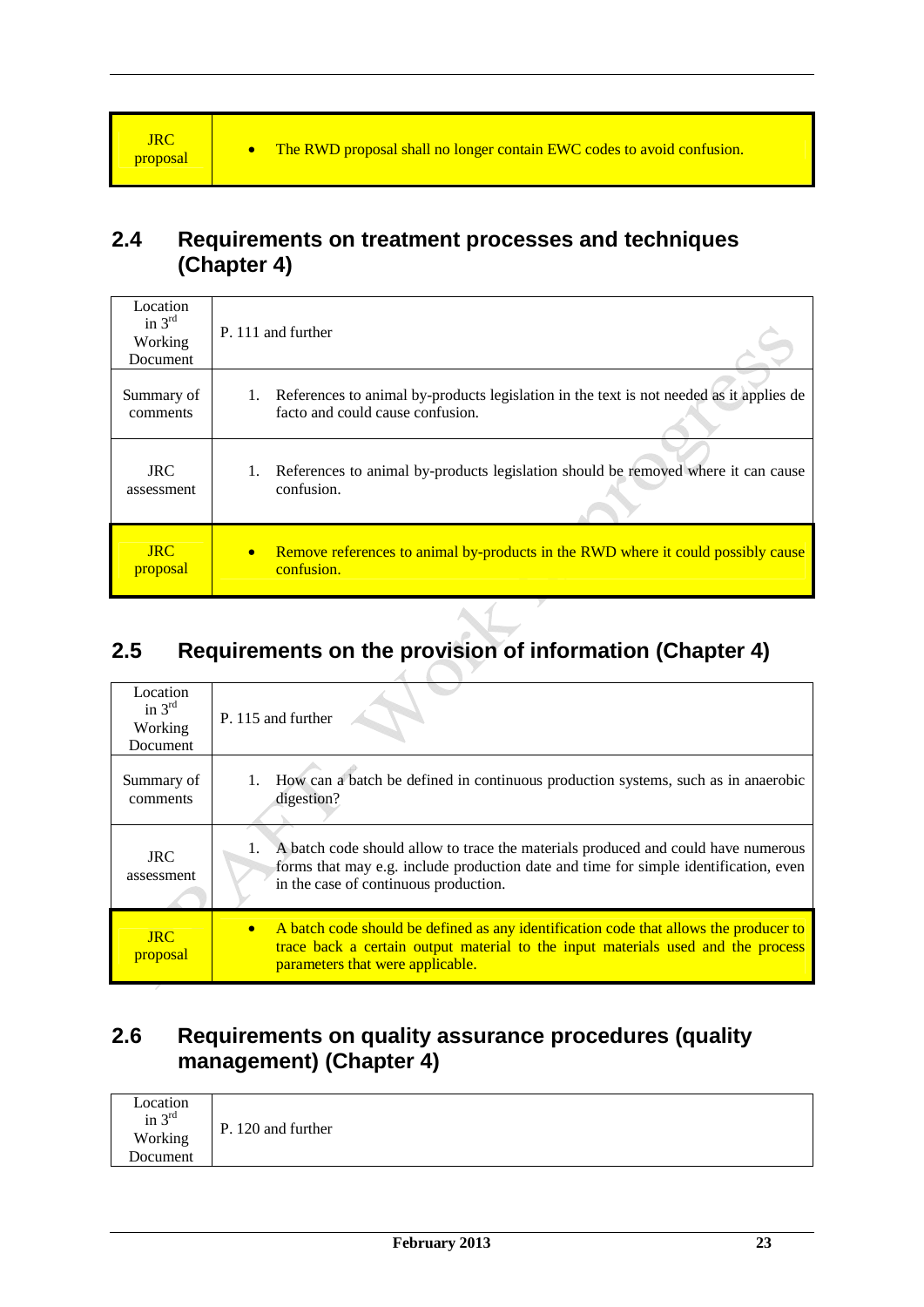# **2.4 Requirements on treatment processes and techniques (Chapter 4)**

| Location<br>in $3^{\text{rd}}$<br>Working<br>Document | P. 111 and further                                                                                          |
|-------------------------------------------------------|-------------------------------------------------------------------------------------------------------------|
| Summary of                                            | 1. References to animal by-products legislation in the text is not needed as it applies de                  |
| comments                                              | facto and could cause confusion.                                                                            |
| <b>JRC</b>                                            | 1. References to animal by-products legislation should be removed where it can cause                        |
| assessment                                            | confusion.                                                                                                  |
| <b>JRC</b><br>proposal                                | Remove references to animal by-products in the RWD where it could possibly cause<br>$\bullet$<br>confusion. |

# **2.5 Requirements on the provision of information (Chapter 4)**

| Location<br>in $3^{rd}$<br>Working<br>Document | P. 115 and further                                                                                                                                                                                                         |
|------------------------------------------------|----------------------------------------------------------------------------------------------------------------------------------------------------------------------------------------------------------------------------|
| Summary of<br>comments                         | 1. How can a batch be defined in continuous production systems, such as in anaerobic<br>digestion?                                                                                                                         |
| JRC.<br>assessment                             | 1. A batch code should allow to trace the materials produced and could have numerous<br>forms that may e.g. include production date and time for simple identification, even<br>in the case of continuous production.      |
| <b>JRC</b><br>proposal                         | A batch code should be defined as any identification code that allows the producer to<br>$\bullet$<br>trace back a certain output material to the input materials used and the process<br>parameters that were applicable. |

# **2.6 Requirements on quality assurance procedures (quality management) (Chapter 4)**

| Location<br>in $3rd$ | P. 120 and further |  |  |
|----------------------|--------------------|--|--|
| Working              |                    |  |  |
| Document             |                    |  |  |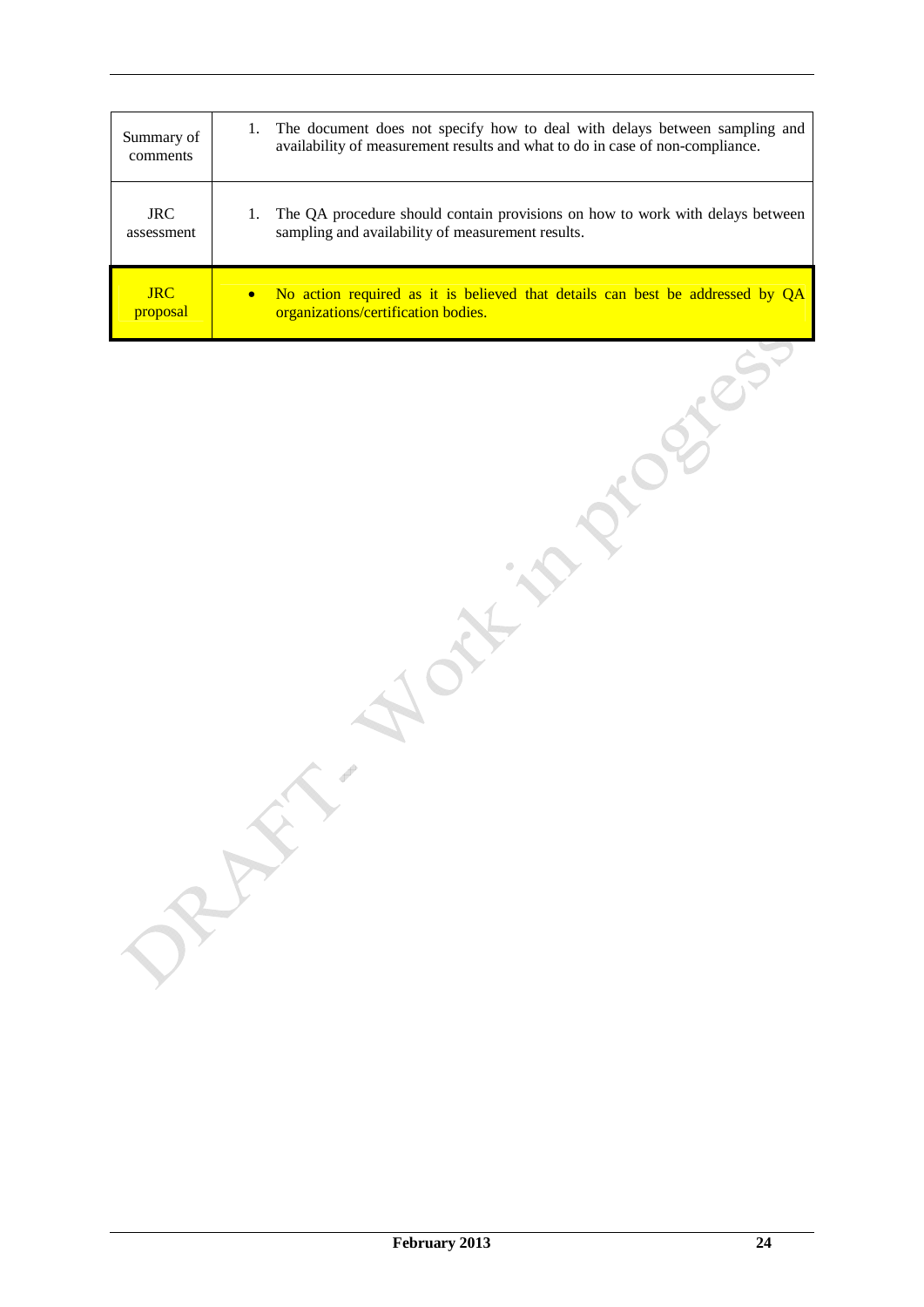| Summary of | 1. The document does not specify how to deal with delays between sampling and |
|------------|-------------------------------------------------------------------------------|
| comments   | availability of measurement results and what to do in case of non-compliance. |
| <b>JRC</b> | The QA procedure should contain provisions on how to work with delays between |
| assessment | sampling and availability of measurement results.                             |
| <b>JRC</b> | No action required as it is believed that details can best be addressed by QA |
| proposal   | organizations/certification bodies.                                           |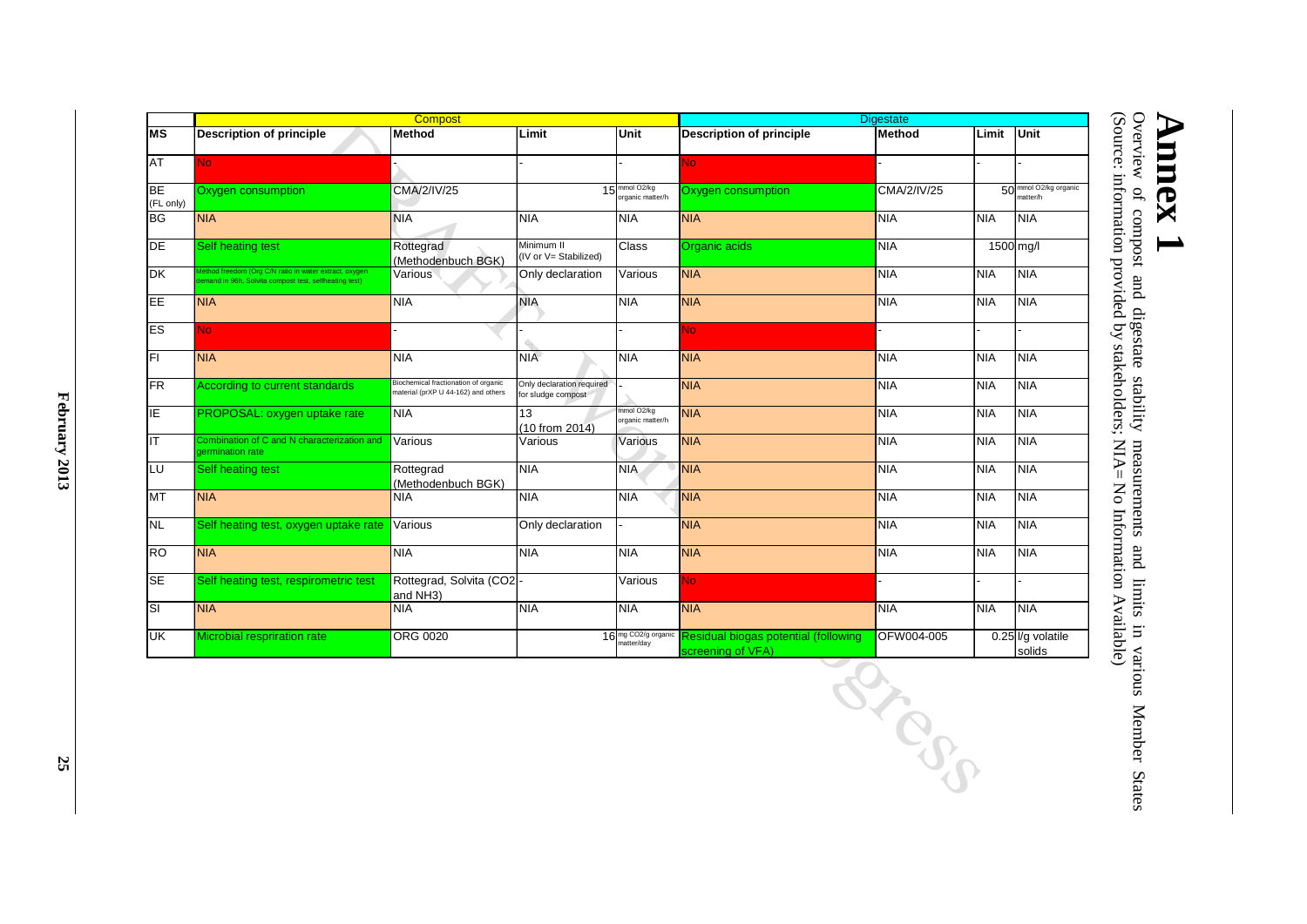|                        |                                                                                                               | <b>Compost</b>                                                              |                                                 |                                               |                                                           | <b>Digestate</b>   |            |                                               |
|------------------------|---------------------------------------------------------------------------------------------------------------|-----------------------------------------------------------------------------|-------------------------------------------------|-----------------------------------------------|-----------------------------------------------------------|--------------------|------------|-----------------------------------------------|
| IMS                    | <b>Description of principle</b>                                                                               | Method                                                                      | Limit                                           | Unit                                          | <b>Description of principle</b>                           | Method             | Limit      | Unit                                          |
| AT                     | No.                                                                                                           |                                                                             |                                                 |                                               | No.                                                       |                    |            |                                               |
| <b>BE</b><br>(FL only) | Oxygen consumption                                                                                            | CMA/2/IV/25                                                                 |                                                 | 15 <sup>mmol O2/kg</sup><br>organic matter/h  | Oxygen consumption                                        | <b>CMA/2/IV/25</b> |            | 50 mmol O <sub>2/kg</sub> organic<br>natter/h |
| <b>BG</b>              | <b>NIA</b>                                                                                                    | <b>NIA</b>                                                                  | <b>NIA</b>                                      | <b>NIA</b>                                    | <b>NIA</b>                                                | <b>NIA</b>         | <b>NIA</b> | <b>NIA</b>                                    |
| <b>DE</b>              | Self heating test                                                                                             | Rottegrad<br>(Methodenbuch BGK)                                             | Minimum II<br>(IV or V= Stabilized)             | <b>Class</b>                                  | Organic acids                                             | <b>NIA</b>         |            | 1500 mg/l                                     |
| <b>DK</b>              | ethod freedom (Org C/N ratio in water extract, oxygen<br>mand in 96h, Solvita compost test, selfheating test) | Various                                                                     | Only declaration                                | Various                                       | <b>NIA</b>                                                | <b>NIA</b>         | <b>NIA</b> | <b>NIA</b>                                    |
| EE                     | <b>NIA</b>                                                                                                    | <b>NIA</b>                                                                  | <b>NIA</b>                                      | <b>NIA</b>                                    | <b>NIA</b>                                                | <b>NIA</b>         | <b>NIA</b> | <b>NIA</b>                                    |
| ES                     | No.                                                                                                           |                                                                             |                                                 |                                               | No                                                        |                    |            |                                               |
| IFL                    | <b>NIA</b>                                                                                                    | <b>NIA</b>                                                                  | <b>NIA</b>                                      | <b>NIA</b>                                    | <b>NIA</b>                                                | <b>NIA</b>         | <b>NIA</b> | <b>NIA</b>                                    |
| <b>FR</b>              | <b>According to current standards</b>                                                                         | Biochemical fractionation of organic<br>material (prXP U 44-162) and others | Only declaration required<br>for sludge compost |                                               | <b>NIA</b>                                                | <b>NIA</b>         | <b>NIA</b> | <b>NIA</b>                                    |
| ΙE                     | PROPOSAL: oxygen uptake rate                                                                                  | <b>NIA</b>                                                                  | 13<br>(10 from 2014)                            | mmol O2/kg<br>organic matter/h                | <b>NIA</b>                                                | <b>NIA</b>         | <b>NIA</b> | <b>NIA</b>                                    |
| IT                     | Combination of C and N characterization and<br>dermination rate                                               | Various                                                                     | Various                                         | Various                                       | <b>NIA</b>                                                | <b>NIA</b>         | <b>NIA</b> | <b>NIA</b>                                    |
| LU                     | <b>Self heating test</b>                                                                                      | Rottegrad<br>(Methodenbuch BGK)                                             | NIA                                             | <b>NIA</b>                                    | <b>NIA</b>                                                | <b>NIA</b>         | <b>NIA</b> | <b>NIA</b>                                    |
| <b>MT</b>              | <b>NIA</b>                                                                                                    | <b>NIA</b>                                                                  | <b>NIA</b>                                      | <b>NIA</b>                                    | <b>NIA</b>                                                | <b>NIA</b>         | <b>NIA</b> | <b>NIA</b>                                    |
| <b>NL</b>              | Self heating test, oxygen uptake rate                                                                         | Various                                                                     | Only declaration                                |                                               | <b>NIA</b>                                                | <b>NIA</b>         | <b>NIA</b> | <b>NIA</b>                                    |
| <b>RO</b>              | <b>NIA</b>                                                                                                    | <b>NIA</b>                                                                  | <b>NIA</b>                                      | <b>NIA</b>                                    | <b>NIA</b>                                                | <b>NIA</b>         | <b>NIA</b> | INIA                                          |
| <b>SE</b>              | Self heating test, respirometric test                                                                         | Rottegrad, Solvita (CO2-<br>and NH3)                                        |                                                 | Various                                       | <b>No</b>                                                 |                    |            |                                               |
| <b>SI</b>              | <b>NIA</b>                                                                                                    | <b>NIA</b>                                                                  | <b>NIA</b>                                      | <b>NIA</b>                                    | <b>NIA</b>                                                | <b>NIA</b>         | <b>NIA</b> | <b>NIA</b>                                    |
| UK                     | Microbial respriration rate                                                                                   | <b>ORG 0020</b>                                                             |                                                 | 16 mg CO <sub>2/g</sub> organic<br>natter/day | Residual biogas potential (following<br>screening of VFA) | OFW004-005         |            | 0.25 l/g volatile<br>solids                   |

(Source: information provided by stakeholders; NIA= No Information Available) Overview of compost and digestate stability measurements and limits in various Member States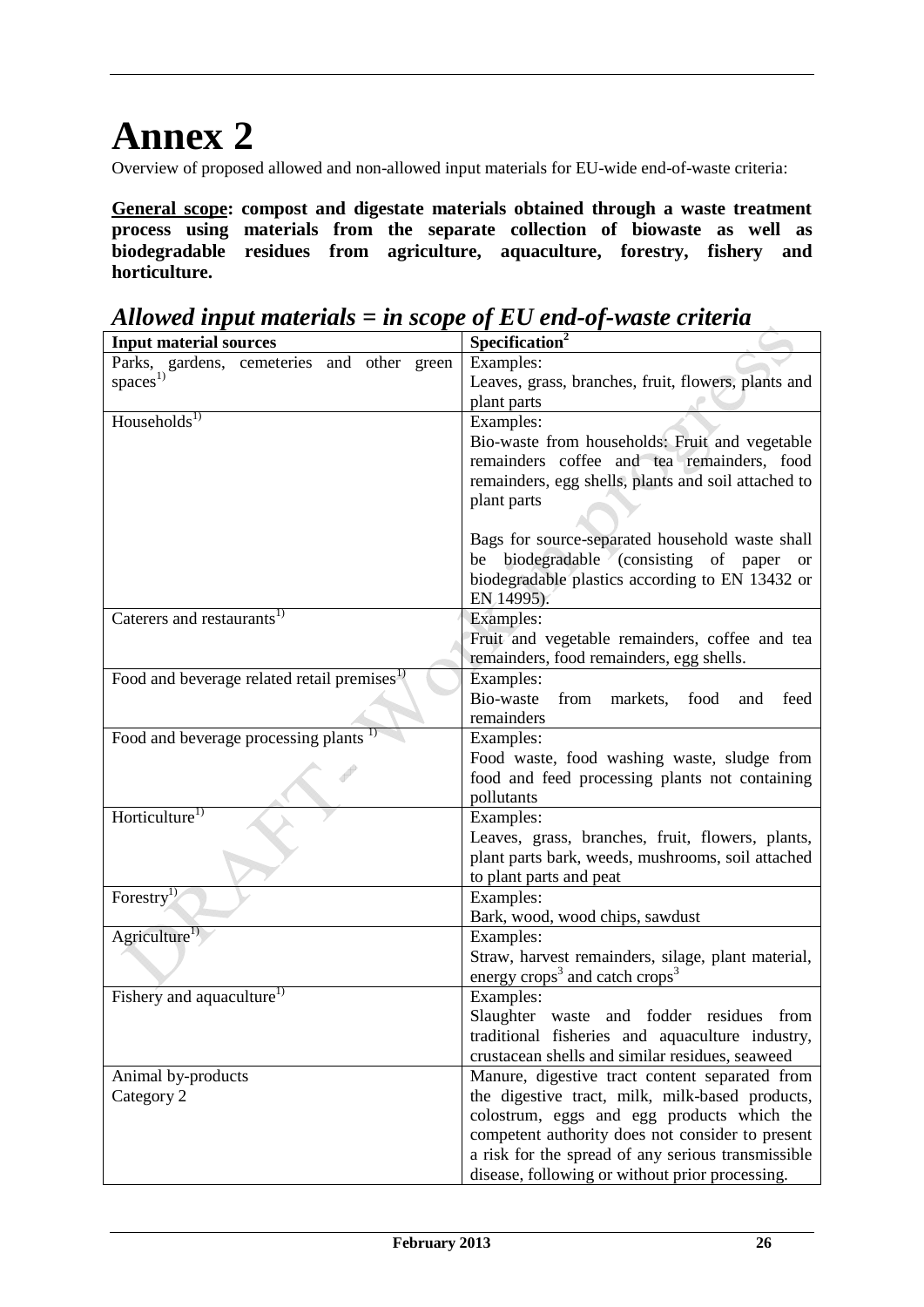# **Annex 2**

Overview of proposed allowed and non-allowed input materials for EU-wide end-of-waste criteria:

**General scope: compost and digestate materials obtained through a waste treatment process using materials from the separate collection of biowaste as well as biodegradable residues from agriculture, aquaculture, forestry, fishery and horticulture.** 

**Input material sources** Parks, gardens, cemeteries and other green  $spaces<sup>1</sup>$ Examples: Leaves, grass, branches, fruit, flowers, plants and plant parts Households<sup>1)</sup> Examples: Bio-waste from households: Fruit and vegetable remainders coffee and tea remainders, food remainders, egg shells, plants and soil attached to plant parts Bags for source-separated household waste shall be biodegradable (consisting of paper or biodegradable plastics according to EN 13432 or EN 14995). Caterers and restaurants<sup>1)</sup> Examples: Fruit and vegetable remainders, coffee and tea remainders, food remainders, egg shells. Food and beverage related retail premises<sup>1)</sup> Examples: Bio-waste from markets, food and feed remainders Food and beverage processing plants  $\left| \right|$  Examples: Food waste, food washing waste, sludge from food and feed processing plants not containing pollutants Horticulture<sup>1)</sup> Examples: Leaves, grass, branches, fruit, flowers, plants, plant parts bark, weeds, mushrooms, soil attached to plant parts and peat Forestry<sup>1)</sup> Examples: Bark, wood, wood chips, sawdust  $\text{Agriculture}^{1}$  Examples: Straw, harvest remainders, silage, plant material, energy  $\csc^3$  and catch  $\csc^3$ Fishery and aquaculture<sup>1)</sup> Examples: Slaughter waste and fodder residues from traditional fisheries and aquaculture industry, crustacean shells and similar residues, seaweed Animal by-products Category 2 Manure, digestive tract content separated from the digestive tract, milk, milk-based products, colostrum, eggs and egg products which the competent authority does not consider to present a risk for the spread of any serious transmissible disease, following or without prior processing.

*Allowed input materials = in scope of EU end-of-waste criteria* Input material sources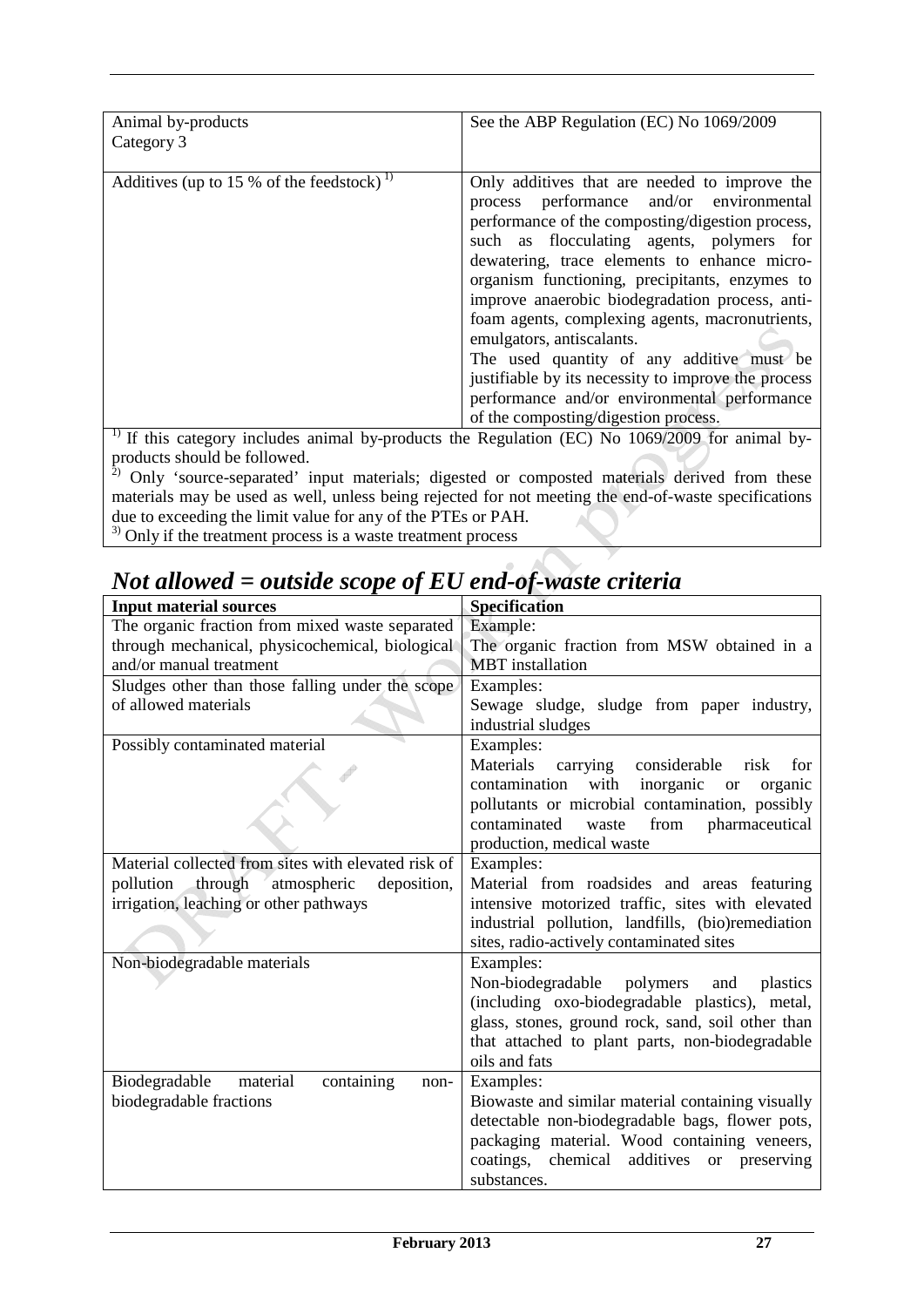| Animal by-products                                    | See the ABP Regulation (EC) No 1069/2009                                                                     |
|-------------------------------------------------------|--------------------------------------------------------------------------------------------------------------|
| Category 3                                            |                                                                                                              |
|                                                       |                                                                                                              |
|                                                       |                                                                                                              |
| Additives (up to 15 % of the feedstock) <sup>1)</sup> | Only additives that are needed to improve the                                                                |
|                                                       | process performance and/or environmental                                                                     |
|                                                       | performance of the composting/digestion process,                                                             |
|                                                       | such as flocculating agents, polymers for                                                                    |
|                                                       |                                                                                                              |
|                                                       | dewatering, trace elements to enhance micro-                                                                 |
|                                                       | organism functioning, precipitants, enzymes to                                                               |
|                                                       | improve anaerobic biodegradation process, anti-                                                              |
|                                                       | foam agents, complexing agents, macronutrients,                                                              |
|                                                       | emulgators, antiscalants.                                                                                    |
|                                                       | The used quantity of any additive must be                                                                    |
|                                                       | justifiable by its necessity to improve the process                                                          |
|                                                       | performance and/or environmental performance                                                                 |
|                                                       | of the composting/digestion process.                                                                         |
|                                                       | <sup>1)</sup> If this category includes animal by-products the Regulation (EC) No $1069/2009$ for animal by- |
|                                                       |                                                                                                              |
| products should be followed.                          |                                                                                                              |

 $2)$  Only 'source-separated' input materials; digested or composted materials derived from these materials may be used as well, unless being rejected for not meeting the end-of-waste specifications due to exceeding the limit value for any of the PTEs or PAH.

 $3)$  Only if the treatment process is a waste treatment process

# *Not allowed = outside scope of EU end-of-waste criteria*

| <b>Input material sources</b>                       | Specification                                           |
|-----------------------------------------------------|---------------------------------------------------------|
| The organic fraction from mixed waste separated     | Example:                                                |
| through mechanical, physicochemical, biological     | The organic fraction from MSW obtained in a             |
| and/or manual treatment                             | <b>MBT</b> installation                                 |
| Sludges other than those falling under the scope    | Examples:                                               |
| of allowed materials                                | Sewage sludge, sludge from paper industry,              |
|                                                     | industrial sludges                                      |
| Possibly contaminated material                      | Examples:                                               |
|                                                     | Materials<br>carrying<br>considerable<br>for.<br>risk   |
|                                                     | with inorganic<br>contamination<br>organic<br><b>or</b> |
|                                                     | pollutants or microbial contamination, possibly         |
|                                                     | contaminated<br>pharmaceutical<br>waste<br>from         |
|                                                     | production, medical waste                               |
| Material collected from sites with elevated risk of | Examples:                                               |
| pollution<br>through<br>atmospheric<br>deposition,  | Material from roadsides and areas featuring             |
| irrigation, leaching or other pathways              | intensive motorized traffic, sites with elevated        |
|                                                     | industrial pollution, landfills, (bio)remediation       |
|                                                     | sites, radio-actively contaminated sites                |
| Non-biodegradable materials                         | Examples:                                               |
|                                                     | Non-biodegradable polymers<br>and plastics              |
|                                                     | (including oxo-biodegradable plastics), metal,          |
|                                                     | glass, stones, ground rock, sand, soil other than       |
|                                                     | that attached to plant parts, non-biodegradable         |
|                                                     | oils and fats                                           |
| material<br>containing<br>Biodegradable<br>non-     | Examples:                                               |
| biodegradable fractions                             | Biowaste and similar material containing visually       |
|                                                     | detectable non-biodegradable bags, flower pots,         |
|                                                     | packaging material. Wood containing veneers,            |
|                                                     | coatings,<br>chemical additives or preserving           |
|                                                     | substances.                                             |